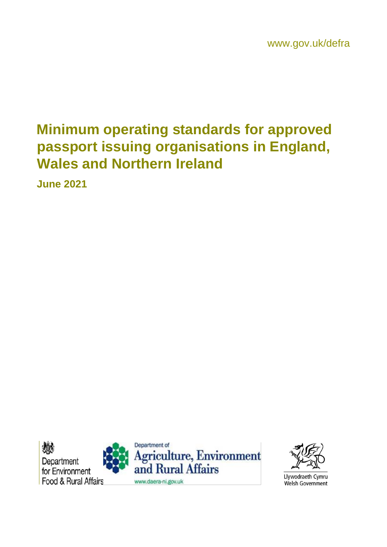# **Minimum operating standards for approved passport issuing organisations in England, Wales and Northern Ireland**

**June 2021**





Llywodraeth Cymru Welsh Government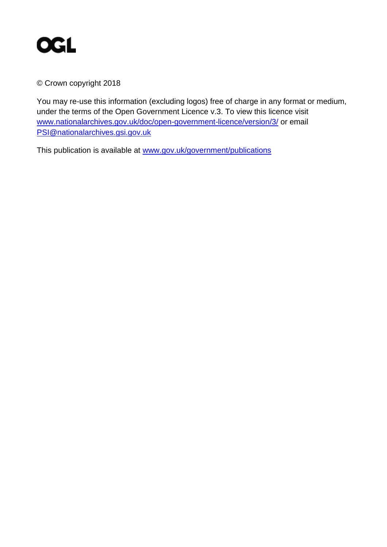

© Crown copyright 2018

You may re-use this information (excluding logos) free of charge in any format or medium, under the terms of the Open Government Licence v.3. To view this licence visit www.nationalarchives.gov.uk/doc/open-government-licence/version/3/ or email PSI@nationalarchives.gsi.gov.uk

This publication is available at www.gov.uk/government/publications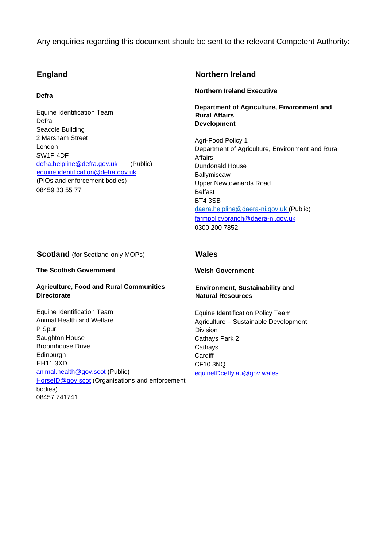Any enquiries regarding this document should be sent to the relevant Competent Authority:

#### **England**

#### **Defra**

Equine Identification Team Defra Seacole Building 2 Marsham Street London SW1P 4DF defra.helpline@defra.gov.uk (Public) equine.identification@defra.gov.uk (PIOs and enforcement bodies) 08459 33 55 77

#### **Northern Ireland**

**Northern Ireland Executive** 

**Department of Agriculture, Environment and Rural Affairs Development** 

Agri-Food Policy 1 Department of Agriculture, Environment and Rural Affairs Dundonald House Ballymiscaw Upper Newtownards Road Belfast BT4 3SB daera.helpline@daera-ni.gov.uk (Public) farmpolicybranch@daera-ni.gov.uk 0300 200 7852

#### **Scotland** (for Scotland-only MOPs)

#### **The Scottish Government**

#### **Agriculture, Food and Rural Communities Directorate**

Equine Identification Team Animal Health and Welfare P Spur Saughton House Broomhouse Drive Edinburgh EH11 3XD animal.health@gov.scot (Public) HorseID@gov.scot (Organisations and enforcement bodies) 08457 741741

#### **Wales**

#### **Welsh Government**

#### **Environment, Sustainability and Natural Resources**

Equine Identification Policy Team Agriculture – Sustainable Development Division Cathays Park 2 **Cathavs Cardiff** CF10 3NQ equineIDceffylau@gov.wales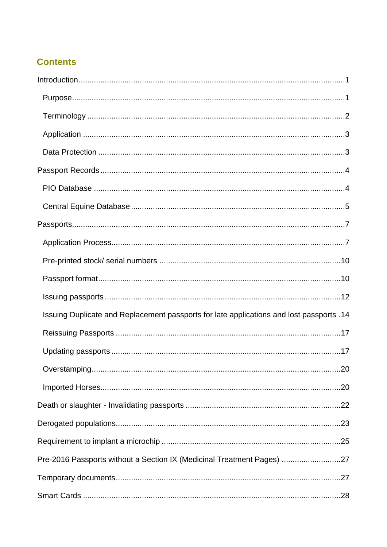### **Contents**

| 14. Issuing Duplicate and Replacement passports for late applications and lost passports |  |
|------------------------------------------------------------------------------------------|--|
|                                                                                          |  |
|                                                                                          |  |
|                                                                                          |  |
|                                                                                          |  |
|                                                                                          |  |
|                                                                                          |  |
|                                                                                          |  |
| Pre-2016 Passports without a Section IX (Medicinal Treatment Pages) 27                   |  |
|                                                                                          |  |
|                                                                                          |  |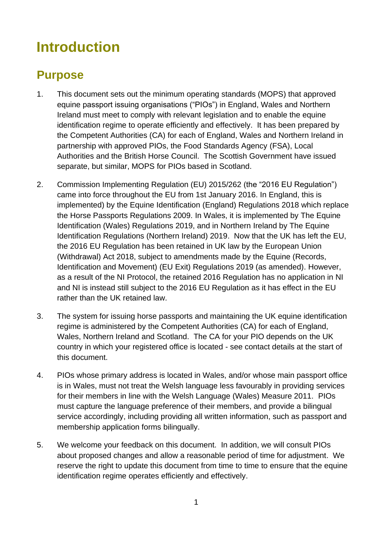# <span id="page-5-0"></span>**Introduction**

### <span id="page-5-1"></span>**Purpose**

- 1. This document sets out the minimum operating standards (MOPS) that approved equine passport issuing organisations ("PIOs") in England, Wales and Northern Ireland must meet to comply with relevant legislation and to enable the equine identification regime to operate efficiently and effectively. It has been prepared by the Competent Authorities (CA) for each of England, Wales and Northern Ireland in partnership with approved PIOs, the Food Standards Agency (FSA), Local Authorities and the British Horse Council. The Scottish Government have issued separate, but similar, MOPS for PIOs based in Scotland.
- 2. Commission Implementing Regulation (EU) 2015/262 (the "2016 EU Regulation") came into force throughout the EU from 1st January 2016. In England, this is implemented) by the Equine Identification (England) Regulations 2018 which replace the Horse Passports Regulations 2009. In Wales, it is implemented by The Equine Identification (Wales) Regulations 2019, and in Northern Ireland by The Equine Identification Regulations (Northern Ireland) 2019. Now that the UK has left the EU, the 2016 EU Regulation has been retained in UK law by the European Union (Withdrawal) Act 2018, subject to amendments made by the Equine (Records, Identification and Movement) (EU Exit) Regulations 2019 (as amended). However, as a result of the NI Protocol, the retained 2016 Regulation has no application in NI and NI is instead still subject to the 2016 EU Regulation as it has effect in the EU rather than the UK retained law.
- 3. The system for issuing horse passports and maintaining the UK equine identification regime is administered by the Competent Authorities (CA) for each of England, Wales, Northern Ireland and Scotland. The CA for your PIO depends on the UK country in which your registered office is located - see contact details at the start of this document.
- 4. PIOs whose primary address is located in Wales, and/or whose main passport office is in Wales, must not treat the Welsh language less favourably in providing services for their members in line with the Welsh Language (Wales) Measure 2011. PIOs must capture the language preference of their members, and provide a bilingual service accordingly, including providing all written information, such as passport and membership application forms bilingually.
- 5. We welcome your feedback on this document. In addition, we will consult PIOs about proposed changes and allow a reasonable period of time for adjustment. We reserve the right to update this document from time to time to ensure that the equine identification regime operates efficiently and effectively.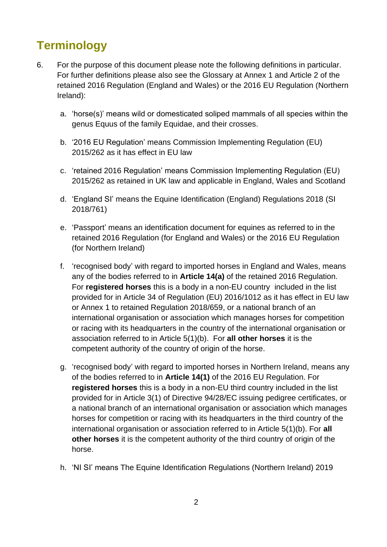## <span id="page-6-0"></span>**Terminology**

- 6. For the purpose of this document please note the following definitions in particular. For further definitions please also see the Glossary at Annex 1 and Article 2 of the retained 2016 Regulation (England and Wales) or the 2016 EU Regulation (Northern Ireland):
	- a. 'horse(s)' means wild or domesticated soliped mammals of all species within the genus Equus of the family Equidae, and their crosses.
	- b. '2016 EU Regulation' means Commission Implementing Regulation (EU) 2015/262 as it has effect in EU law
	- c. 'retained 2016 Regulation' means Commission Implementing Regulation (EU) 2015/262 as retained in UK law and applicable in England, Wales and Scotland
	- d. 'England SI' means the Equine Identification (England) Regulations 2018 (SI 2018/761)
	- e. 'Passport' means an identification document for equines as referred to in the retained 2016 Regulation (for England and Wales) or the 2016 EU Regulation (for Northern Ireland)
	- f. 'recognised body' with regard to imported horses in England and Wales, means any of the bodies referred to in **Article 14(a)** of the retained 2016 Regulation. For **registered horses** this is a body in a non-EU country included in the list provided for in Article 34 of Regulation (EU) 2016/1012 as it has effect in EU law or Annex 1 to retained Regulation 2018/659, or a national branch of an international organisation or association which manages horses for competition or racing with its headquarters in the country of the international organisation or association referred to in Article 5(1)(b). For **all other horses** it is the competent authority of the country of origin of the horse.
	- g. 'recognised body' with regard to imported horses in Northern Ireland, means any of the bodies referred to in **Article 14(1)** of the 2016 EU Regulation. For **registered horses** this is a body in a non-EU third country included in the list provided for in Article 3(1) of Directive 94/28/EC issuing pedigree certificates, or a national branch of an international organisation or association which manages horses for competition or racing with its headquarters in the third country of the international organisation or association referred to in Article 5(1)(b). For **all other horses** it is the competent authority of the third country of origin of the horse.
	- h. 'NI SI' means The Equine Identification Regulations (Northern Ireland) 2019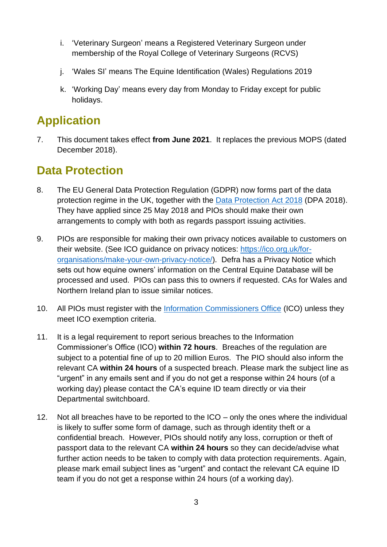- i. 'Veterinary Surgeon' means a Registered Veterinary Surgeon under membership of the Royal College of Veterinary Surgeons (RCVS)
- j. 'Wales SI' means The Equine Identification (Wales) Regulations 2019
- k. 'Working Day' means every day from Monday to Friday except for public holidays.

## <span id="page-7-0"></span>**Application**

7. This document takes effect **from June 2021**. It replaces the previous MOPS (dated December 2018).

### <span id="page-7-1"></span>**Data Protection**

- 8. The EU General Data Protection Regulation (GDPR) now forms part of the data protection regime in the UK, together with the Data Protection Act 2018 (DPA 2018). They have applied since 25 May 2018 and PIOs should make their own arrangements to comply with both as regards passport issuing activities.
- 9. PIOs are responsible for making their own privacy notices available to customers on their website. (See ICO guidance on privacy notices: https://ico.org.uk/fororganisations/make-your-own-privacy-notice/). Defra has a Privacy Notice which sets out how equine owners' information on the Central Equine Database will be processed and used. PIOs can pass this to owners if requested. CAs for Wales and Northern Ireland plan to issue similar notices.
- 10. All PIOs must register with the Information Commissioners Office (ICO) unless they meet ICO exemption criteria.
- 11. It is a legal requirement to report serious breaches to the Information Commissioner's Office (ICO) **within 72 hours**. Breaches of the regulation are subject to a potential fine of up to 20 million Euros. The PIO should also inform the relevant CA **within 24 hours** of a suspected breach. Please mark the subject line as "urgent" in any emails sent and if you do not get a response within 24 hours (of a working day) please contact the CA's equine ID team directly or via their Departmental switchboard.
- 12. Not all breaches have to be reported to the ICO only the ones where the individual is likely to suffer some form of damage, such as through identity theft or a confidential breach. However, PIOs should notify any loss, corruption or theft of passport data to the relevant CA **within 24 hours** so they can decide/advise what further action needs to be taken to comply with data protection requirements. Again, please mark email subject lines as "urgent" and contact the relevant CA equine ID team if you do not get a response within 24 hours (of a working day).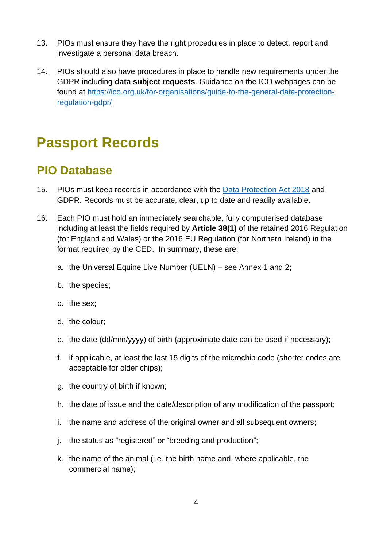- 13. PIOs must ensure they have the right procedures in place to detect, report and investigate a personal data breach.
- 14. PIOs should also have procedures in place to handle new requirements under the GDPR including **data subject requests**. Guidance on the ICO webpages can be found at https://ico.org.uk/for-organisations/guide-to-the-general-data-protectionregulation-gdpr/

## <span id="page-8-0"></span>**Passport Records**

### <span id="page-8-1"></span>**PIO Database**

- 15. PIOs must keep records in accordance with the Data Protection Act 2018 and GDPR. Records must be accurate, clear, up to date and readily available.
- 16. Each PIO must hold an immediately searchable, fully computerised database including at least the fields required by **Article 38(1)** of the retained 2016 Regulation (for England and Wales) or the 2016 EU Regulation (for Northern Ireland) in the format required by the CED. In summary, these are:
	- a. the Universal Equine Live Number (UELN) see Annex 1 and 2;
	- b. the species;
	- c. the sex;
	- d. the colour;
	- e. the date (dd/mm/yyyy) of birth (approximate date can be used if necessary);
	- f. if applicable, at least the last 15 digits of the microchip code (shorter codes are acceptable for older chips);
	- g. the country of birth if known;
	- h. the date of issue and the date/description of any modification of the passport;
	- i. the name and address of the original owner and all subsequent owners;
	- j. the status as "registered" or "breeding and production";
	- k. the name of the animal (i.e. the birth name and, where applicable, the commercial name);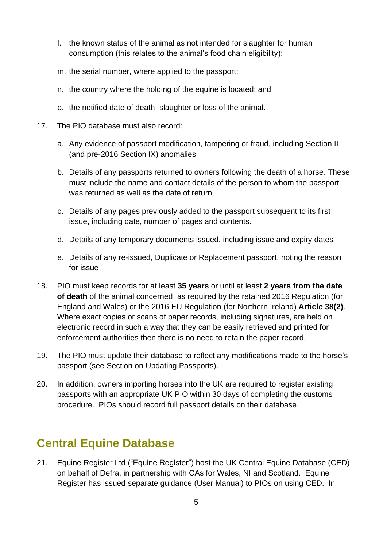- l. the known status of the animal as not intended for slaughter for human consumption (this relates to the animal's food chain eligibility);
- m. the serial number, where applied to the passport;
- n. the country where the holding of the equine is located; and
- o. the notified date of death, slaughter or loss of the animal.
- 17. The PIO database must also record:
	- a. Any evidence of passport modification, tampering or fraud, including Section II (and pre-2016 Section IX) anomalies
	- b. Details of any passports returned to owners following the death of a horse. These must include the name and contact details of the person to whom the passport was returned as well as the date of return
	- c. Details of any pages previously added to the passport subsequent to its first issue, including date, number of pages and contents.
	- d. Details of any temporary documents issued, including issue and expiry dates
	- e. Details of any re-issued, Duplicate or Replacement passport, noting the reason for issue
- 18. PIO must keep records for at least **35 years** or until at least **2 years from the date of death** of the animal concerned, as required by the retained 2016 Regulation (for England and Wales) or the 2016 EU Regulation (for Northern Ireland) **Article 38(2)**. Where exact copies or scans of paper records, including signatures, are held on electronic record in such a way that they can be easily retrieved and printed for enforcement authorities then there is no need to retain the paper record.
- 19. The PIO must update their database to reflect any modifications made to the horse's passport (see Section on Updating Passports).
- 20. In addition, owners importing horses into the UK are required to register existing passports with an appropriate UK PIO within 30 days of completing the customs procedure. PIOs should record full passport details on their database.

## <span id="page-9-0"></span>**Central Equine Database**

21. Equine Register Ltd ("Equine Register") host the UK Central Equine Database (CED) on behalf of Defra, in partnership with CAs for Wales, NI and Scotland. Equine Register has issued separate guidance (User Manual) to PIOs on using CED. In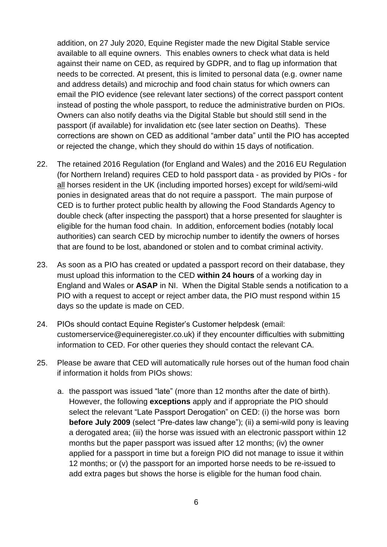addition, on 27 July 2020, Equine Register made the new Digital Stable service available to all equine owners. This enables owners to check what data is held against their name on CED, as required by GDPR, and to flag up information that needs to be corrected. At present, this is limited to personal data (e.g. owner name and address details) and microchip and food chain status for which owners can email the PIO evidence (see relevant later sections) of the correct passport content instead of posting the whole passport, to reduce the administrative burden on PIOs. Owners can also notify deaths via the Digital Stable but should still send in the passport (if available) for invalidation etc (see later section on Deaths). These corrections are shown on CED as additional "amber data" until the PIO has accepted or rejected the change, which they should do within 15 days of notification.

- 22. The retained 2016 Regulation (for England and Wales) and the 2016 EU Regulation (for Northern Ireland) requires CED to hold passport data - as provided by PIOs - for all horses resident in the UK (including imported horses) except for wild/semi-wild ponies in designated areas that do not require a passport. The main purpose of CED is to further protect public health by allowing the Food Standards Agency to double check (after inspecting the passport) that a horse presented for slaughter is eligible for the human food chain. In addition, enforcement bodies (notably local authorities) can search CED by microchip number to identify the owners of horses that are found to be lost, abandoned or stolen and to combat criminal activity.
- 23. As soon as a PIO has created or updated a passport record on their database, they must upload this information to the CED **within 24 hours** of a working day in England and Wales or **ASAP** in NI. When the Digital Stable sends a notification to a PIO with a request to accept or reject amber data, the PIO must respond within 15 days so the update is made on CED.
- 24. PIOs should contact Equine Register's Customer helpdesk (email: customerservice@equineregister.co.uk) if they encounter difficulties with submitting information to CED. For other queries they should contact the relevant CA.
- 25. Please be aware that CED will automatically rule horses out of the human food chain if information it holds from PIOs shows:
	- a. the passport was issued "late" (more than 12 months after the date of birth). However, the following **exceptions** apply and if appropriate the PIO should select the relevant "Late Passport Derogation" on CED: (i) the horse was born **before July 2009** (select "Pre-dates law change"); (ii) a semi-wild pony is leaving a derogated area; (iii) the horse was issued with an electronic passport within 12 months but the paper passport was issued after 12 months; (iv) the owner applied for a passport in time but a foreign PIO did not manage to issue it within 12 months; or (v) the passport for an imported horse needs to be re-issued to add extra pages but shows the horse is eligible for the human food chain.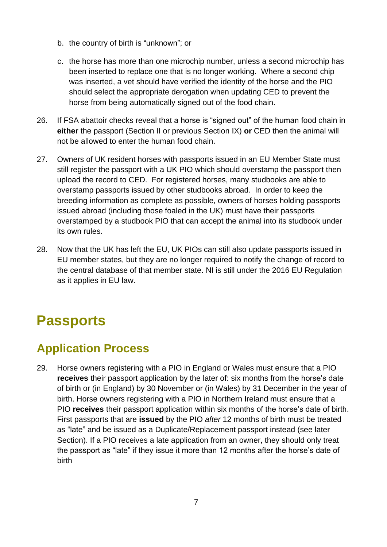- b. the country of birth is "unknown"; or
- c. the horse has more than one microchip number, unless a second microchip has been inserted to replace one that is no longer working. Where a second chip was inserted, a vet should have verified the identity of the horse and the PIO should select the appropriate derogation when updating CED to prevent the horse from being automatically signed out of the food chain.
- 26. If FSA abattoir checks reveal that a horse is "signed out" of the human food chain in **either** the passport (Section II or previous Section IX) **or** CED then the animal will not be allowed to enter the human food chain.
- 27. Owners of UK resident horses with passports issued in an EU Member State must still register the passport with a UK PIO which should overstamp the passport then upload the record to CED. For registered horses, many studbooks are able to overstamp passports issued by other studbooks abroad. In order to keep the breeding information as complete as possible, owners of horses holding passports issued abroad (including those foaled in the UK) must have their passports overstamped by a studbook PIO that can accept the animal into its studbook under its own rules.
- 28. Now that the UK has left the EU, UK PIOs can still also update passports issued in EU member states, but they are no longer required to notify the change of record to the central database of that member state. NI is still under the 2016 EU Regulation as it applies in EU law.

# <span id="page-11-0"></span>**Passports**

## <span id="page-11-1"></span>**Application Process**

29. Horse owners registering with a PIO in England or Wales must ensure that a PIO **receives** their passport application by the later of: six months from the horse's date of birth or (in England) by 30 November or (in Wales) by 31 December in the year of birth. Horse owners registering with a PIO in Northern Ireland must ensure that a PIO **receives** their passport application within six months of the horse's date of birth. First passports that are **issued** by the PIO *after* 12 months of birth must be treated as "late" and be issued as a Duplicate/Replacement passport instead (see later Section). If a PIO receives a late application from an owner, they should only treat the passport as "late" if they issue it more than 12 months after the horse's date of birth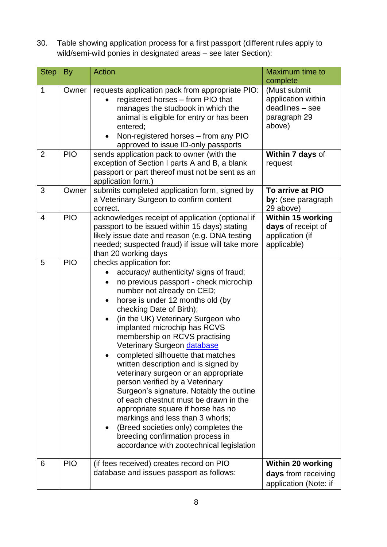30. Table showing application process for a first passport (different rules apply to wild/semi-wild ponies in designated areas – see later Section):

| <b>Step</b>    | By         | <b>Action</b>                                                                                                                                                                                                                                                                                                                                                                                                                                                                                                                                                                                                                                                                                                                                                                                                                          | Maximum time to<br>complete                                                      |
|----------------|------------|----------------------------------------------------------------------------------------------------------------------------------------------------------------------------------------------------------------------------------------------------------------------------------------------------------------------------------------------------------------------------------------------------------------------------------------------------------------------------------------------------------------------------------------------------------------------------------------------------------------------------------------------------------------------------------------------------------------------------------------------------------------------------------------------------------------------------------------|----------------------------------------------------------------------------------|
| 1              | Owner      | requests application pack from appropriate PIO:<br>registered horses - from PIO that<br>manages the studbook in which the<br>animal is eligible for entry or has been<br>entered;<br>Non-registered horses - from any PIO<br>approved to issue ID-only passports                                                                                                                                                                                                                                                                                                                                                                                                                                                                                                                                                                       | (Must submit<br>application within<br>deadlines - see<br>paragraph 29<br>above)  |
| 2              | <b>PIO</b> | sends application pack to owner (with the<br>exception of Section I parts A and B, a blank<br>passport or part thereof must not be sent as an<br>application form.)                                                                                                                                                                                                                                                                                                                                                                                                                                                                                                                                                                                                                                                                    | Within 7 days of<br>request                                                      |
| 3              | Owner      | submits completed application form, signed by<br>a Veterinary Surgeon to confirm content<br>correct.                                                                                                                                                                                                                                                                                                                                                                                                                                                                                                                                                                                                                                                                                                                                   | To arrive at PIO<br>by: (see paragraph<br>29 above)                              |
| $\overline{4}$ | <b>PIO</b> | acknowledges receipt of application (optional if<br>passport to be issued within 15 days) stating<br>likely issue date and reason (e.g. DNA testing<br>needed; suspected fraud) if issue will take more<br>than 20 working days                                                                                                                                                                                                                                                                                                                                                                                                                                                                                                                                                                                                        | <b>Within 15 working</b><br>days of receipt of<br>application (if<br>applicable) |
| 5              | <b>PIO</b> | checks application for:<br>accuracy/ authenticity/ signs of fraud;<br>no previous passport - check microchip<br>$\bullet$<br>number not already on CED;<br>horse is under 12 months old (by<br>$\bullet$<br>checking Date of Birth);<br>(in the UK) Veterinary Surgeon who<br>$\bullet$<br>implanted microchip has RCVS<br>membership on RCVS practising<br>Veterinary Surgeon database<br>completed silhouette that matches<br>written description and is signed by<br>veterinary surgeon or an appropriate<br>person verified by a Veterinary<br>Surgeon's signature. Notably the outline<br>of each chestnut must be drawn in the<br>appropriate square if horse has no<br>markings and less than 3 whorls;<br>(Breed societies only) completes the<br>breeding confirmation process in<br>accordance with zootechnical legislation |                                                                                  |
| 6              | <b>PIO</b> | (if fees received) creates record on PIO<br>database and issues passport as follows:                                                                                                                                                                                                                                                                                                                                                                                                                                                                                                                                                                                                                                                                                                                                                   | <b>Within 20 working</b><br>days from receiving<br>application (Note: if         |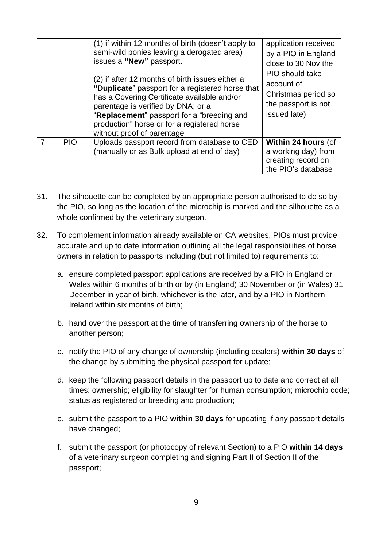|            | (1) if within 12 months of birth (doesn't apply to<br>semi-wild ponies leaving a derogated area)<br>issues a "New" passport.<br>(2) if after 12 months of birth issues either a<br>"Duplicate" passport for a registered horse that<br>has a Covering Certificate available and/or<br>parentage is verified by DNA; or a<br>"Replacement" passport for a "breeding and<br>production" horse or for a registered horse<br>without proof of parentage | application received<br>by a PIO in England<br>close to 30 Nov the<br><b>PIO</b> should take<br>account of<br>Christmas period so<br>the passport is not<br>issued late). |
|------------|-----------------------------------------------------------------------------------------------------------------------------------------------------------------------------------------------------------------------------------------------------------------------------------------------------------------------------------------------------------------------------------------------------------------------------------------------------|---------------------------------------------------------------------------------------------------------------------------------------------------------------------------|
| <b>PIO</b> | Uploads passport record from database to CED<br>(manually or as Bulk upload at end of day)                                                                                                                                                                                                                                                                                                                                                          | Within 24 hours (of<br>a working day) from<br>creating record on<br>the PIO's database                                                                                    |

- 31. The silhouette can be completed by an appropriate person authorised to do so by the PIO, so long as the location of the microchip is marked and the silhouette as a whole confirmed by the veterinary surgeon.
- 32. To complement information already available on CA websites, PIOs must provide accurate and up to date information outlining all the legal responsibilities of horse owners in relation to passports including (but not limited to) requirements to:
	- a. ensure completed passport applications are received by a PIO in England or Wales within 6 months of birth or by (in England) 30 November or (in Wales) 31 December in year of birth, whichever is the later, and by a PIO in Northern Ireland within six months of birth;
	- b. hand over the passport at the time of transferring ownership of the horse to another person;
	- c. notify the PIO of any change of ownership (including dealers) **within 30 days** of the change by submitting the physical passport for update;
	- d. keep the following passport details in the passport up to date and correct at all times: ownership; eligibility for slaughter for human consumption; microchip code; status as registered or breeding and production;
	- e. submit the passport to a PIO **within 30 days** for updating if any passport details have changed;
	- f. submit the passport (or photocopy of relevant Section) to a PIO **within 14 days** of a veterinary surgeon completing and signing Part II of Section II of the passport;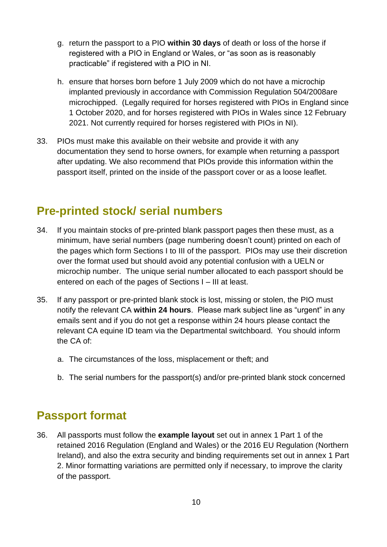- g. return the passport to a PIO **within 30 days** of death or loss of the horse if registered with a PIO in England or Wales, or "as soon as is reasonably practicable" if registered with a PIO in NI.
- h. ensure that horses born before 1 July 2009 which do not have a microchip implanted previously in accordance with Commission Regulation 504/2008are microchipped. (Legally required for horses registered with PIOs in England since 1 October 2020, and for horses registered with PIOs in Wales since 12 February 2021. Not currently required for horses registered with PIOs in NI).
- 33. PIOs must make this available on their website and provide it with any documentation they send to horse owners, for example when returning a passport after updating. We also recommend that PIOs provide this information within the passport itself, printed on the inside of the passport cover or as a loose leaflet.

### <span id="page-14-0"></span>**Pre-printed stock/ serial numbers**

- 34. If you maintain stocks of pre-printed blank passport pages then these must, as a minimum, have serial numbers (page numbering doesn't count) printed on each of the pages which form Sections I to III of the passport. PIOs may use their discretion over the format used but should avoid any potential confusion with a UELN or microchip number. The unique serial number allocated to each passport should be entered on each of the pages of Sections I – III at least.
- 35. If any passport or pre-printed blank stock is lost, missing or stolen, the PIO must notify the relevant CA **within 24 hours**. Please mark subject line as "urgent" in any emails sent and if you do not get a response within 24 hours please contact the relevant CA equine ID team via the Departmental switchboard. You should inform the CA of:
	- a. The circumstances of the loss, misplacement or theft; and
	- b. The serial numbers for the passport(s) and/or pre-printed blank stock concerned

### <span id="page-14-1"></span>**Passport format**

36. All passports must follow the **example layout** set out in annex 1 Part 1 of the retained 2016 Regulation (England and Wales) or the 2016 EU Regulation (Northern Ireland), and also the extra security and binding requirements set out in annex 1 Part 2. Minor formatting variations are permitted only if necessary, to improve the clarity of the passport.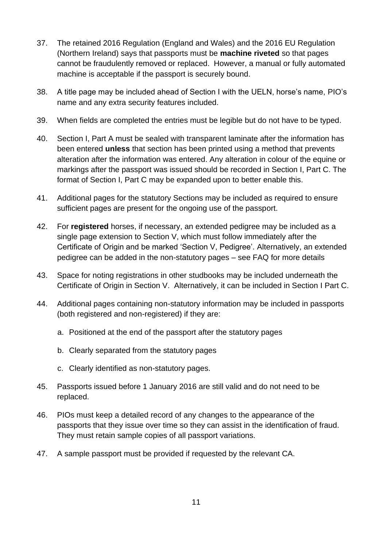- 37. The retained 2016 Regulation (England and Wales) and the 2016 EU Regulation (Northern Ireland) says that passports must be **machine riveted** so that pages cannot be fraudulently removed or replaced. However, a manual or fully automated machine is acceptable if the passport is securely bound.
- 38. A title page may be included ahead of Section I with the UELN, horse's name, PIO's name and any extra security features included.
- 39. When fields are completed the entries must be legible but do not have to be typed.
- 40. Section I, Part A must be sealed with transparent laminate after the information has been entered **unless** that section has been printed using a method that prevents alteration after the information was entered. Any alteration in colour of the equine or markings after the passport was issued should be recorded in Section I, Part C. The format of Section I, Part C may be expanded upon to better enable this.
- 41. Additional pages for the statutory Sections may be included as required to ensure sufficient pages are present for the ongoing use of the passport.
- 42. For **registered** horses, if necessary, an extended pedigree may be included as a single page extension to Section V, which must follow immediately after the Certificate of Origin and be marked 'Section V, Pedigree'. Alternatively, an extended pedigree can be added in the non-statutory pages – see FAQ for more details
- 43. Space for noting registrations in other studbooks may be included underneath the Certificate of Origin in Section V. Alternatively, it can be included in Section I Part C.
- 44. Additional pages containing non-statutory information may be included in passports (both registered and non-registered) if they are:
	- a. Positioned at the end of the passport after the statutory pages
	- b. Clearly separated from the statutory pages
	- c. Clearly identified as non-statutory pages.
- 45. Passports issued before 1 January 2016 are still valid and do not need to be replaced.
- 46. PIOs must keep a detailed record of any changes to the appearance of the passports that they issue over time so they can assist in the identification of fraud. They must retain sample copies of all passport variations.
- 47. A sample passport must be provided if requested by the relevant CA.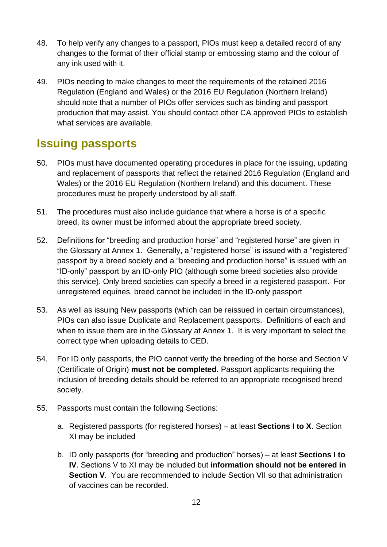- 48. To help verify any changes to a passport, PIOs must keep a detailed record of any changes to the format of their official stamp or embossing stamp and the colour of any ink used with it.
- 49. PIOs needing to make changes to meet the requirements of the retained 2016 Regulation (England and Wales) or the 2016 EU Regulation (Northern Ireland) should note that a number of PIOs offer services such as binding and passport production that may assist. You should contact other CA approved PIOs to establish what services are available.

### <span id="page-16-0"></span>**Issuing passports**

- 50. PIOs must have documented operating procedures in place for the issuing, updating and replacement of passports that reflect the retained 2016 Regulation (England and Wales) or the 2016 EU Regulation (Northern Ireland) and this document. These procedures must be properly understood by all staff.
- 51. The procedures must also include guidance that where a horse is of a specific breed, its owner must be informed about the appropriate breed society.
- 52. Definitions for "breeding and production horse" and "registered horse" are given in the Glossary at Annex 1. Generally, a "registered horse" is issued with a "registered" passport by a breed society and a "breeding and production horse" is issued with an "ID-only" passport by an ID-only PIO (although some breed societies also provide this service). Only breed societies can specify a breed in a registered passport. For unregistered equines, breed cannot be included in the ID-only passport
- 53. As well as issuing New passports (which can be reissued in certain circumstances), PIOs can also issue Duplicate and Replacement passports. Definitions of each and when to issue them are in the Glossary at Annex 1. It is very important to select the correct type when uploading details to CED.
- 54. For ID only passports, the PIO cannot verify the breeding of the horse and Section V (Certificate of Origin) **must not be completed.** Passport applicants requiring the inclusion of breeding details should be referred to an appropriate recognised breed society.
- 55. Passports must contain the following Sections:
	- a. Registered passports (for registered horses) at least **Sections I to X**. Section XI may be included
	- b. ID only passports (for "breeding and production" horses) at least **Sections I to IV**. Sections V to XI may be included but **information should not be entered in Section V**. You are recommended to include Section VII so that administration of vaccines can be recorded.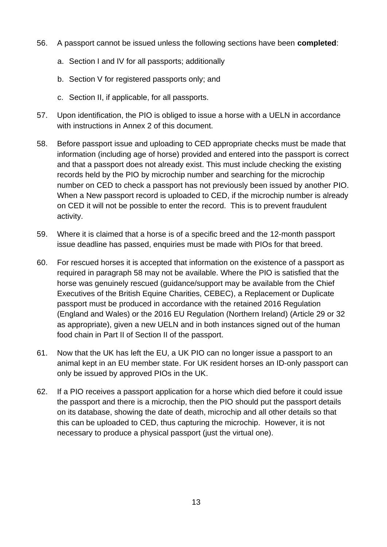- 56. A passport cannot be issued unless the following sections have been **completed**:
	- a. Section I and IV for all passports; additionally
	- b. Section V for registered passports only; and
	- c. Section II, if applicable, for all passports.
- 57. Upon identification, the PIO is obliged to issue a horse with a UELN in accordance with instructions in Annex 2 of this document.
- 58. Before passport issue and uploading to CED appropriate checks must be made that information (including age of horse) provided and entered into the passport is correct and that a passport does not already exist. This must include checking the existing records held by the PIO by microchip number and searching for the microchip number on CED to check a passport has not previously been issued by another PIO. When a New passport record is uploaded to CED, if the microchip number is already on CED it will not be possible to enter the record. This is to prevent fraudulent activity.
- 59. Where it is claimed that a horse is of a specific breed and the 12-month passport issue deadline has passed, enquiries must be made with PIOs for that breed.
- 60. For rescued horses it is accepted that information on the existence of a passport as required in paragraph 58 may not be available. Where the PIO is satisfied that the horse was genuinely rescued (guidance/support may be available from the Chief Executives of the British Equine Charities, CEBEC), a Replacement or Duplicate passport must be produced in accordance with the retained 2016 Regulation (England and Wales) or the 2016 EU Regulation (Northern Ireland) (Article 29 or 32 as appropriate), given a new UELN and in both instances signed out of the human food chain in Part II of Section II of the passport.
- 61. Now that the UK has left the EU, a UK PIO can no longer issue a passport to an animal kept in an EU member state. For UK resident horses an ID-only passport can only be issued by approved PIOs in the UK.
- 62. If a PIO receives a passport application for a horse which died before it could issue the passport and there is a microchip, then the PIO should put the passport details on its database, showing the date of death, microchip and all other details so that this can be uploaded to CED, thus capturing the microchip. However, it is not necessary to produce a physical passport (just the virtual one).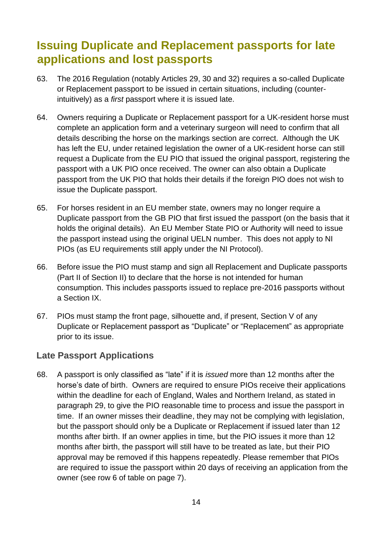## <span id="page-18-0"></span>**Issuing Duplicate and Replacement passports for late applications and lost passports**

- 63. The 2016 Regulation (notably Articles 29, 30 and 32) requires a so-called Duplicate or Replacement passport to be issued in certain situations, including (counterintuitively) as a *first* passport where it is issued late.
- 64. Owners requiring a Duplicate or Replacement passport for a UK-resident horse must complete an application form and a veterinary surgeon will need to confirm that all details describing the horse on the markings section are correct. Although the UK has left the EU, under retained legislation the owner of a UK-resident horse can still request a Duplicate from the EU PIO that issued the original passport, registering the passport with a UK PIO once received. The owner can also obtain a Duplicate passport from the UK PIO that holds their details if the foreign PIO does not wish to issue the Duplicate passport.
- 65. For horses resident in an EU member state, owners may no longer require a Duplicate passport from the GB PIO that first issued the passport (on the basis that it holds the original details). An EU Member State PIO or Authority will need to issue the passport instead using the original UELN number. This does not apply to NI PIOs (as EU requirements still apply under the NI Protocol).
- 66. Before issue the PIO must stamp and sign all Replacement and Duplicate passports (Part II of Section II) to declare that the horse is not intended for human consumption. This includes passports issued to replace pre-2016 passports without a Section IX.
- 67. PIOs must stamp the front page, silhouette and, if present, Section V of any Duplicate or Replacement passport as "Duplicate" or "Replacement" as appropriate prior to its issue.

### **Late Passport Applications**

68. A passport is only classified as "late" if it is *issued* more than 12 months after the horse's date of birth. Owners are required to ensure PIOs receive their applications within the deadline for each of England, Wales and Northern Ireland, as stated in paragraph 29, to give the PIO reasonable time to process and issue the passport in time. If an owner misses their deadline, they may not be complying with legislation, but the passport should only be a Duplicate or Replacement if issued later than 12 months after birth. If an owner applies in time, but the PIO issues it more than 12 months after birth, the passport will still have to be treated as late, but their PIO approval may be removed if this happens repeatedly. Please remember that PIOs are required to issue the passport within 20 days of receiving an application from the owner (see row 6 of table on page 7).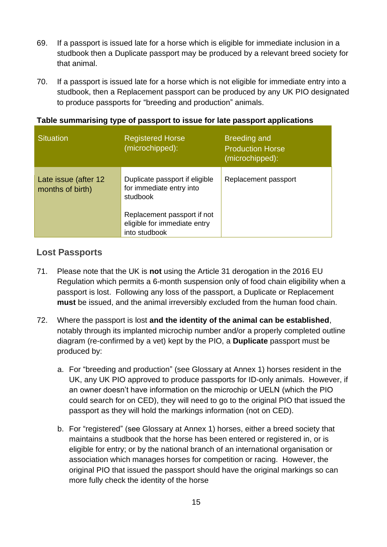- 69. If a passport is issued late for a horse which is eligible for immediate inclusion in a studbook then a Duplicate passport may be produced by a relevant breed society for that animal.
- 70. If a passport is issued late for a horse which is not eligible for immediate entry into a studbook, then a Replacement passport can be produced by any UK PIO designated to produce passports for "breeding and production" animals.

| Table summarising type of passport to issue for late passport applications |  |  |  |  |  |  |
|----------------------------------------------------------------------------|--|--|--|--|--|--|
|----------------------------------------------------------------------------|--|--|--|--|--|--|

| <b>Situation</b>                         | <b>Registered Horse</b><br>(microchipped):                                   | <b>Breeding and</b><br><b>Production Horse</b><br>(microchipped): |
|------------------------------------------|------------------------------------------------------------------------------|-------------------------------------------------------------------|
| Late issue (after 12<br>months of birth) | Duplicate passport if eligible<br>for immediate entry into<br>studbook       | Replacement passport                                              |
|                                          | Replacement passport if not<br>eligible for immediate entry<br>into studbook |                                                                   |

### **Lost Passports**

- 71. Please note that the UK is **not** using the Article 31 derogation in the 2016 EU Regulation which permits a 6-month suspension only of food chain eligibility when a passport is lost. Following any loss of the passport, a Duplicate or Replacement **must** be issued, and the animal irreversibly excluded from the human food chain.
- 72. Where the passport is lost **and the identity of the animal can be established**, notably through its implanted microchip number and/or a properly completed outline diagram (re-confirmed by a vet) kept by the PIO, a **Duplicate** passport must be produced by:
	- a. For "breeding and production" (see Glossary at Annex 1) horses resident in the UK, any UK PIO approved to produce passports for ID-only animals. However, if an owner doesn't have information on the microchip or UELN (which the PIO could search for on CED), they will need to go to the original PIO that issued the passport as they will hold the markings information (not on CED).
	- b. For "registered" (see Glossary at Annex 1) horses, either a breed society that maintains a studbook that the horse has been entered or registered in, or is eligible for entry; or by the national branch of an international organisation or association which manages horses for competition or racing. However, the original PIO that issued the passport should have the original markings so can more fully check the identity of the horse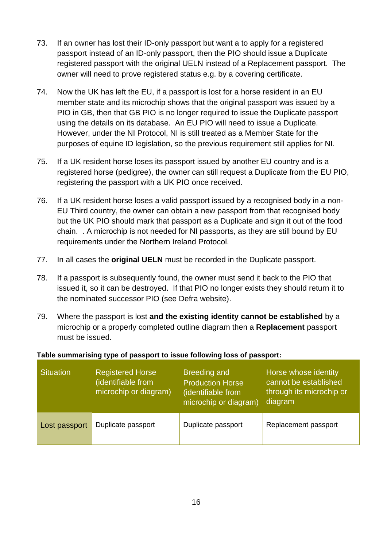- 73. If an owner has lost their ID-only passport but want a to apply for a registered passport instead of an ID-only passport, then the PIO should issue a Duplicate registered passport with the original UELN instead of a Replacement passport. The owner will need to prove registered status e.g. by a covering certificate.
- 74. Now the UK has left the EU, if a passport is lost for a horse resident in an EU member state and its microchip shows that the original passport was issued by a PIO in GB, then that GB PIO is no longer required to issue the Duplicate passport using the details on its database. An EU PIO will need to issue a Duplicate. However, under the NI Protocol, NI is still treated as a Member State for the purposes of equine ID legislation, so the previous requirement still applies for NI.
- 75. If a UK resident horse loses its passport issued by another EU country and is a registered horse (pedigree), the owner can still request a Duplicate from the EU PIO, registering the passport with a UK PIO once received.
- 76. If a UK resident horse loses a valid passport issued by a recognised body in a non-EU Third country, the owner can obtain a new passport from that recognised body but the UK PIO should mark that passport as a Duplicate and sign it out of the food chain. . A microchip is not needed for NI passports, as they are still bound by EU requirements under the Northern Ireland Protocol.
- 77. In all cases the **original UELN** must be recorded in the Duplicate passport.
- 78. If a passport is subsequently found, the owner must send it back to the PIO that issued it, so it can be destroyed. If that PIO no longer exists they should return it to the nominated successor PIO (see Defra website).
- 79. Where the passport is lost **and the existing identity cannot be established** by a microchip or a properly completed outline diagram then a **Replacement** passport must be issued.

#### **Table summarising type of passport to issue following loss of passport:**

| <b>Situation</b> | <b>Registered Horse</b><br>(identifiable from<br>microchip or diagram) | <b>Breeding and</b><br><b>Production Horse</b><br>(identifiable from<br>microchip or diagram) | Horse whose identity<br>cannot be established<br>through its microchip or<br>diagram |
|------------------|------------------------------------------------------------------------|-----------------------------------------------------------------------------------------------|--------------------------------------------------------------------------------------|
| Lost passport    | Duplicate passport                                                     | Duplicate passport                                                                            | Replacement passport                                                                 |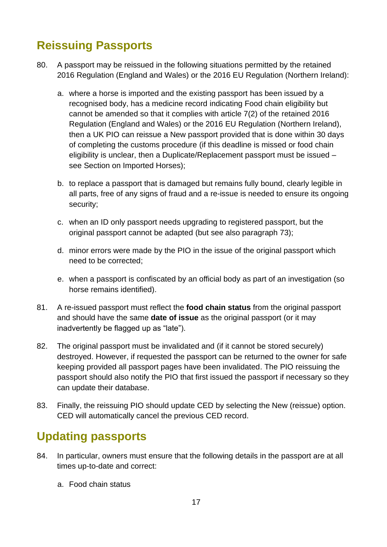## <span id="page-21-0"></span>**Reissuing Passports**

- 80. A passport may be reissued in the following situations permitted by the retained 2016 Regulation (England and Wales) or the 2016 EU Regulation (Northern Ireland):
	- a. where a horse is imported and the existing passport has been issued by a recognised body, has a medicine record indicating Food chain eligibility but cannot be amended so that it complies with article 7(2) of the retained 2016 Regulation (England and Wales) or the 2016 EU Regulation (Northern Ireland), then a UK PIO can reissue a New passport provided that is done within 30 days of completing the customs procedure (if this deadline is missed or food chain eligibility is unclear, then a Duplicate/Replacement passport must be issued – see Section on Imported Horses);
	- b. to replace a passport that is damaged but remains fully bound, clearly legible in all parts, free of any signs of fraud and a re-issue is needed to ensure its ongoing security;
	- c. when an ID only passport needs upgrading to registered passport, but the original passport cannot be adapted (but see also paragraph 73);
	- d. minor errors were made by the PIO in the issue of the original passport which need to be corrected;
	- e. when a passport is confiscated by an official body as part of an investigation (so horse remains identified).
- 81. A re-issued passport must reflect the **food chain status** from the original passport and should have the same **date of issue** as the original passport (or it may inadvertently be flagged up as "late").
- 82. The original passport must be invalidated and (if it cannot be stored securely) destroyed. However, if requested the passport can be returned to the owner for safe keeping provided all passport pages have been invalidated. The PIO reissuing the passport should also notify the PIO that first issued the passport if necessary so they can update their database.
- 83. Finally, the reissuing PIO should update CED by selecting the New (reissue) option. CED will automatically cancel the previous CED record.

## <span id="page-21-1"></span>**Updating passports**

- 84. In particular, owners must ensure that the following details in the passport are at all times up-to-date and correct:
	- a. Food chain status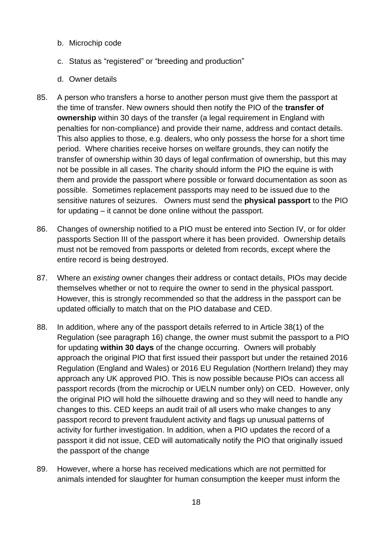- b. Microchip code
- c. Status as "registered" or "breeding and production"
- d. Owner details
- 85. A person who transfers a horse to another person must give them the passport at the time of transfer. New owners should then notify the PIO of the **transfer of ownership** within 30 days of the transfer (a legal requirement in England with penalties for non-compliance) and provide their name, address and contact details. This also applies to those, e.g. dealers, who only possess the horse for a short time period. Where charities receive horses on welfare grounds, they can notify the transfer of ownership within 30 days of legal confirmation of ownership, but this may not be possible in all cases. The charity should inform the PIO the equine is with them and provide the passport where possible or forward documentation as soon as possible. Sometimes replacement passports may need to be issued due to the sensitive natures of seizures. Owners must send the **physical passport** to the PIO for updating – it cannot be done online without the passport.
- 86. Changes of ownership notified to a PIO must be entered into Section IV, or for older passports Section III of the passport where it has been provided. Ownership details must not be removed from passports or deleted from records, except where the entire record is being destroyed.
- 87. Where an *existing* owner changes their address or contact details, PIOs may decide themselves whether or not to require the owner to send in the physical passport. However, this is strongly recommended so that the address in the passport can be updated officially to match that on the PIO database and CED.
- 88. In addition, where any of the passport details referred to in Article 38(1) of the Regulation (see paragraph 16) change, the owner must submit the passport to a PIO for updating **within 30 days** of the change occurring. Owners will probably approach the original PIO that first issued their passport but under the retained 2016 Regulation (England and Wales) or 2016 EU Regulation (Northern Ireland) they may approach any UK approved PIO. This is now possible because PIOs can access all passport records (from the microchip or UELN number only) on CED. However, only the original PIO will hold the silhouette drawing and so they will need to handle any changes to this. CED keeps an audit trail of all users who make changes to any passport record to prevent fraudulent activity and flags up unusual patterns of activity for further investigation. In addition, when a PIO updates the record of a passport it did not issue, CED will automatically notify the PIO that originally issued the passport of the change
- 89. However, where a horse has received medications which are not permitted for animals intended for slaughter for human consumption the keeper must inform the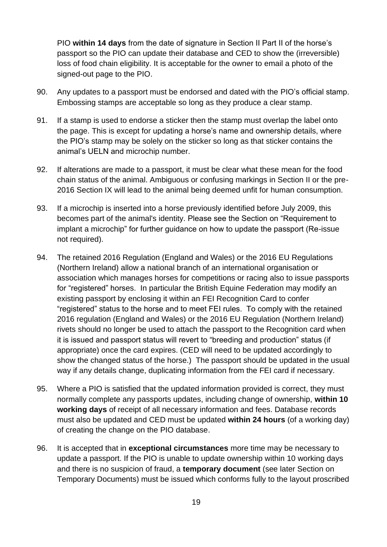PIO **within 14 days** from the date of signature in Section II Part II of the horse's passport so the PIO can update their database and CED to show the (irreversible) loss of food chain eligibility. It is acceptable for the owner to email a photo of the signed-out page to the PIO.

- 90. Any updates to a passport must be endorsed and dated with the PIO's official stamp. Embossing stamps are acceptable so long as they produce a clear stamp.
- 91. If a stamp is used to endorse a sticker then the stamp must overlap the label onto the page. This is except for updating a horse's name and ownership details, where the PIO's stamp may be solely on the sticker so long as that sticker contains the animal's UELN and microchip number.
- 92. If alterations are made to a passport, it must be clear what these mean for the food chain status of the animal. Ambiguous or confusing markings in Section II or the pre-2016 Section IX will lead to the animal being deemed unfit for human consumption.
- 93. If a microchip is inserted into a horse previously identified before July 2009, this becomes part of the animal's identity. Please see the Section on "Requirement to implant a microchip" for further guidance on how to update the passport (Re-issue not required).
- 94. The retained 2016 Regulation (England and Wales) or the 2016 EU Regulations (Northern Ireland) allow a national branch of an international organisation or association which manages horses for competitions or racing also to issue passports for "registered" horses. In particular the British Equine Federation may modify an existing passport by enclosing it within an FEI Recognition Card to confer "registered" status to the horse and to meet FEI rules. To comply with the retained 2016 regulation (England and Wales) or the 2016 EU Regulation (Northern Ireland) rivets should no longer be used to attach the passport to the Recognition card when it is issued and passport status will revert to "breeding and production" status (if appropriate) once the card expires. (CED will need to be updated accordingly to show the changed status of the horse.) The passport should be updated in the usual way if any details change, duplicating information from the FEI card if necessary.
- 95. Where a PIO is satisfied that the updated information provided is correct, they must normally complete any passports updates, including change of ownership, **within 10 working days** of receipt of all necessary information and fees. Database records must also be updated and CED must be updated **within 24 hours** (of a working day) of creating the change on the PIO database.
- 96. It is accepted that in **exceptional circumstances** more time may be necessary to update a passport. If the PIO is unable to update ownership within 10 working days and there is no suspicion of fraud, a **temporary document** (see later Section on Temporary Documents) must be issued which conforms fully to the layout proscribed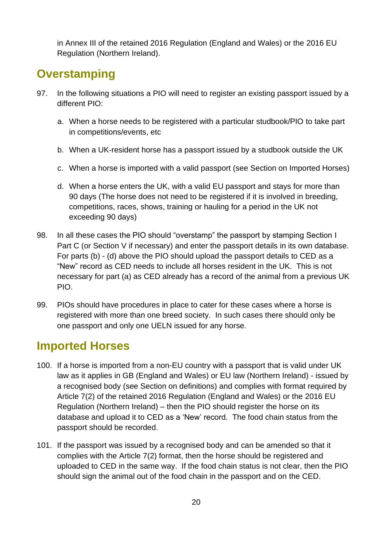in Annex III of the retained 2016 Regulation (England and Wales) or the 2016 EU Regulation (Northern Ireland).

### <span id="page-24-0"></span>**Overstamping**

- 97. In the following situations a PIO will need to register an existing passport issued by a different PIO:
	- a. When a horse needs to be registered with a particular studbook/PIO to take part in competitions/events, etc
	- b. When a UK-resident horse has a passport issued by a studbook outside the UK
	- c. When a horse is imported with a valid passport (see Section on Imported Horses)
	- d. When a horse enters the UK, with a valid EU passport and stays for more than 90 days (The horse does not need to be registered if it is involved in breeding, competitions, races, shows, training or hauling for a period in the UK not exceeding 90 days)
- 98. In all these cases the PIO should "overstamp" the passport by stamping Section I Part C (or Section V if necessary) and enter the passport details in its own database. For parts (b) - (d) above the PIO should upload the passport details to CED as a "New" record as CED needs to include all horses resident in the UK. This is not necessary for part (a) as CED already has a record of the animal from a previous UK PIO.
- 99. PIOs should have procedures in place to cater for these cases where a horse is registered with more than one breed society. In such cases there should only be one passport and only one UELN issued for any horse.

### <span id="page-24-1"></span>**Imported Horses**

- 100. If a horse is imported from a non-EU country with a passport that is valid under UK law as it applies in GB (England and Wales) or EU law (Northern Ireland) - issued by a recognised body (see Section on definitions) and complies with format required by Article 7(2) of the retained 2016 Regulation (England and Wales) or the 2016 EU Regulation (Northern Ireland) – then the PIO should register the horse on its database and upload it to CED as a 'New' record. The food chain status from the passport should be recorded.
- 101. If the passport was issued by a recognised body and can be amended so that it complies with the Article 7(2) format, then the horse should be registered and uploaded to CED in the same way. If the food chain status is not clear, then the PIO should sign the animal out of the food chain in the passport and on the CED.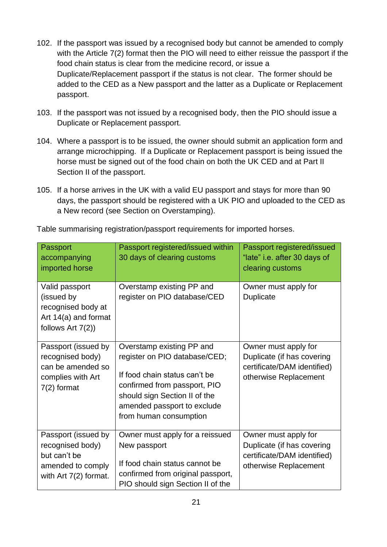- 102. If the passport was issued by a recognised body but cannot be amended to comply with the Article 7(2) format then the PIO will need to either reissue the passport if the food chain status is clear from the medicine record, or issue a Duplicate/Replacement passport if the status is not clear. The former should be added to the CED as a New passport and the latter as a Duplicate or Replacement passport.
- 103. If the passport was not issued by a recognised body, then the PIO should issue a Duplicate or Replacement passport.
- 104. Where a passport is to be issued, the owner should submit an application form and arrange microchipping. If a Duplicate or Replacement passport is being issued the horse must be signed out of the food chain on both the UK CED and at Part II Section II of the passport.
- 105. If a horse arrives in the UK with a valid EU passport and stays for more than 90 days, the passport should be registered with a UK PIO and uploaded to the CED as a New record (see Section on Overstamping).

| Passport<br>accompanying<br>imported horse                                                            | Passport registered/issued within<br>30 days of clearing customs                                                                                                                                                      | Passport registered/issued<br>"late" i.e. after 30 days of<br>clearing customs                             |
|-------------------------------------------------------------------------------------------------------|-----------------------------------------------------------------------------------------------------------------------------------------------------------------------------------------------------------------------|------------------------------------------------------------------------------------------------------------|
| Valid passport<br>(issued by<br>recognised body at<br>Art 14(a) and format<br>follows $Art 7(2)$      | Overstamp existing PP and<br>register on PIO database/CED                                                                                                                                                             | Owner must apply for<br>Duplicate                                                                          |
| Passport (issued by<br>recognised body)<br>can be amended so<br>complies with Art<br>$7(2)$ format    | Overstamp existing PP and<br>register on PIO database/CED;<br>If food chain status can't be<br>confirmed from passport, PIO<br>should sign Section II of the<br>amended passport to exclude<br>from human consumption | Owner must apply for<br>Duplicate (if has covering<br>certificate/DAM identified)<br>otherwise Replacement |
| Passport (issued by<br>recognised body)<br>but can't be<br>amended to comply<br>with Art 7(2) format. | Owner must apply for a reissued<br>New passport<br>If food chain status cannot be<br>confirmed from original passport,<br>PIO should sign Section II of the                                                           | Owner must apply for<br>Duplicate (if has covering<br>certificate/DAM identified)<br>otherwise Replacement |

Table summarising registration/passport requirements for imported horses.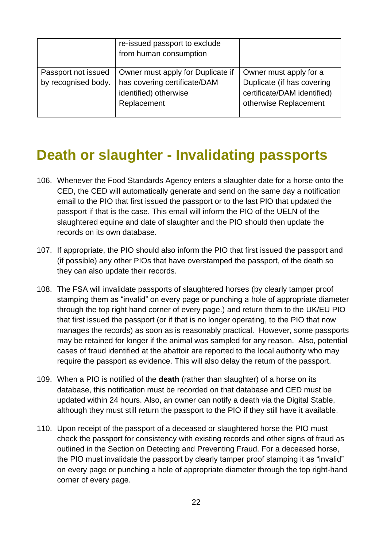|                                            | re-issued passport to exclude<br>from human consumption                                                   |                                                                                                              |
|--------------------------------------------|-----------------------------------------------------------------------------------------------------------|--------------------------------------------------------------------------------------------------------------|
| Passport not issued<br>by recognised body. | Owner must apply for Duplicate if<br>has covering certificate/DAM<br>identified) otherwise<br>Replacement | Owner must apply for a<br>Duplicate (if has covering<br>certificate/DAM identified)<br>otherwise Replacement |

## <span id="page-26-0"></span>**Death or slaughter - Invalidating passports**

- 106. Whenever the Food Standards Agency enters a slaughter date for a horse onto the CED, the CED will automatically generate and send on the same day a notification email to the PIO that first issued the passport or to the last PIO that updated the passport if that is the case. This email will inform the PIO of the UELN of the slaughtered equine and date of slaughter and the PIO should then update the records on its own database.
- 107. If appropriate, the PIO should also inform the PIO that first issued the passport and (if possible) any other PIOs that have overstamped the passport, of the death so they can also update their records.
- 108. The FSA will invalidate passports of slaughtered horses (by clearly tamper proof stamping them as "invalid" on every page or punching a hole of appropriate diameter through the top right hand corner of every page.) and return them to the UK/EU PIO that first issued the passport (or if that is no longer operating, to the PIO that now manages the records) as soon as is reasonably practical. However, some passports may be retained for longer if the animal was sampled for any reason. Also, potential cases of fraud identified at the abattoir are reported to the local authority who may require the passport as evidence. This will also delay the return of the passport.
- 109. When a PIO is notified of the **death** (rather than slaughter) of a horse on its database, this notification must be recorded on that database and CED must be updated within 24 hours. Also, an owner can notify a death via the Digital Stable, although they must still return the passport to the PIO if they still have it available.
- 110. Upon receipt of the passport of a deceased or slaughtered horse the PIO must check the passport for consistency with existing records and other signs of fraud as outlined in the Section on Detecting and Preventing Fraud. For a deceased horse, the PIO must invalidate the passport by clearly tamper proof stamping it as "invalid" on every page or punching a hole of appropriate diameter through the top right-hand corner of every page.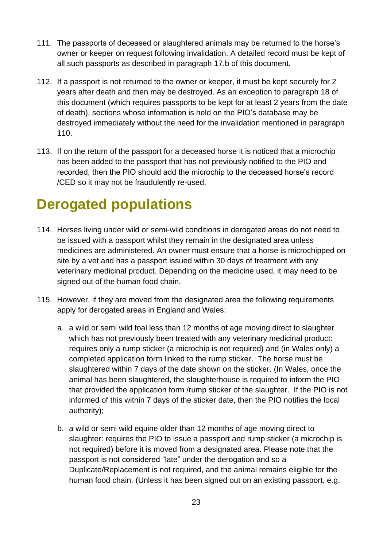- 111. The passports of deceased or slaughtered animals may be returned to the horse's owner or keeper on request following invalidation. A detailed record must be kept of all such passports as described in paragraph 17.b of this document.
- 112. If a passport is not returned to the owner or keeper, it must be kept securely for 2 years after death and then may be destroyed. As an exception to paragraph 18 of this document (which requires passports to be kept for at least 2 years from the date of death), sections whose information is held on the PIO's database may be destroyed immediately without the need for the invalidation mentioned in paragraph 110.
- 113. If on the return of the passport for a deceased horse it is noticed that a microchip has been added to the passport that has not previously notified to the PIO and recorded, then the PIO should add the microchip to the deceased horse's record /CED so it may not be fraudulently re-used.

## <span id="page-27-0"></span>**Derogated populations**

- 114. Horses living under wild or semi-wild conditions in derogated areas do not need to be issued with a passport whilst they remain in the designated area unless medicines are administered. An owner must ensure that a horse is microchipped on site by a vet and has a passport issued within 30 days of treatment with any veterinary medicinal product. Depending on the medicine used, it may need to be signed out of the human food chain.
- 115. However, if they are moved from the designated area the following requirements apply for derogated areas in England and Wales:
	- a. a wild or semi wild foal less than 12 months of age moving direct to slaughter which has not previously been treated with any veterinary medicinal product: requires only a rump sticker (a microchip is not required) and (in Wales only) a completed application form linked to the rump sticker. The horse must be slaughtered within 7 days of the date shown on the sticker. (In Wales, once the animal has been slaughtered, the slaughterhouse is required to inform the PIO that provided the application form /rump sticker of the slaughter. If the PIO is not informed of this within 7 days of the sticker date, then the PIO notifies the local authority);
	- b. a wild or semi wild equine older than 12 months of age moving direct to slaughter: requires the PIO to issue a passport and rump sticker (a microchip is not required) before it is moved from a designated area. Please note that the passport is not considered "late" under the derogation and so a Duplicate/Replacement is not required, and the animal remains eligible for the human food chain. (Unless it has been signed out on an existing passport, e.g.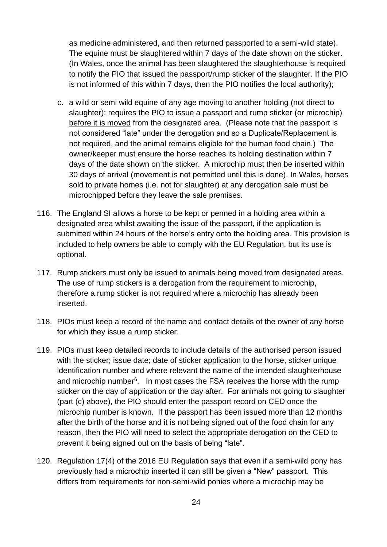as medicine administered, and then returned passported to a semi-wild state). The equine must be slaughtered within 7 days of the date shown on the sticker. (In Wales, once the animal has been slaughtered the slaughterhouse is required to notify the PIO that issued the passport/rump sticker of the slaughter. If the PIO is not informed of this within 7 days, then the PIO notifies the local authority);

- c. a wild or semi wild equine of any age moving to another holding (not direct to slaughter): requires the PIO to issue a passport and rump sticker (or microchip) before it is moved from the designated area. (Please note that the passport is not considered "late" under the derogation and so a Duplicate/Replacement is not required, and the animal remains eligible for the human food chain.) The owner/keeper must ensure the horse reaches its holding destination within 7 days of the date shown on the sticker. A microchip must then be inserted within 30 days of arrival (movement is not permitted until this is done). In Wales, horses sold to private homes (i.e. not for slaughter) at any derogation sale must be microchipped before they leave the sale premises.
- 116. The England SI allows a horse to be kept or penned in a holding area within a designated area whilst awaiting the issue of the passport, if the application is submitted within 24 hours of the horse's entry onto the holding area. This provision is included to help owners be able to comply with the EU Regulation, but its use is optional.
- 117. Rump stickers must only be issued to animals being moved from designated areas. The use of rump stickers is a derogation from the requirement to microchip, therefore a rump sticker is not required where a microchip has already been inserted.
- 118. PIOs must keep a record of the name and contact details of the owner of any horse for which they issue a rump sticker.
- 119. PIOs must keep detailed records to include details of the authorised person issued with the sticker; issue date; date of sticker application to the horse, sticker unique identification number and where relevant the name of the intended slaughterhouse and microchip number<sup>6</sup>. In most cases the FSA receives the horse with the rump sticker on the day of application or the day after. For animals not going to slaughter (part (c) above), the PIO should enter the passport record on CED once the microchip number is known. If the passport has been issued more than 12 months after the birth of the horse and it is not being signed out of the food chain for any reason, then the PIO will need to select the appropriate derogation on the CED to prevent it being signed out on the basis of being "late".
- 120. Regulation 17(4) of the 2016 EU Regulation says that even if a semi-wild pony has previously had a microchip inserted it can still be given a "New" passport. This differs from requirements for non-semi-wild ponies where a microchip may be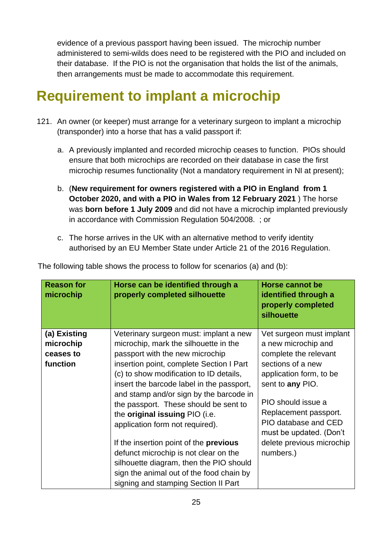evidence of a previous passport having been issued. The microchip number administered to semi-wilds does need to be registered with the PIO and included on their database. If the PIO is not the organisation that holds the list of the animals, then arrangements must be made to accommodate this requirement.

# <span id="page-29-0"></span>**Requirement to implant a microchip**

- 121. An owner (or keeper) must arrange for a veterinary surgeon to implant a microchip (transponder) into a horse that has a valid passport if:
	- a. A previously implanted and recorded microchip ceases to function. PIOs should ensure that both microchips are recorded on their database in case the first microchip resumes functionality (Not a mandatory requirement in NI at present);
	- b. (**New requirement for owners registered with a PIO in England from 1 October 2020, and with a PIO in Wales from 12 February 2021** ) The horse was **born before 1 July 2009** and did not have a microchip implanted previously in accordance with Commission Regulation 504/2008. ; or
	- c. The horse arrives in the UK with an alternative method to verify identity authorised by an EU Member State under Article 21 of the 2016 Regulation.

| <b>Reason for</b><br>microchip                     | Horse can be identified through a<br>properly completed silhouette                                                                                                                                                                                                                                                                                                                                                                                                                                                                                                                                                                              | <b>Horse cannot be</b><br>identified through a<br>properly completed<br>silhouette                                                                                                                                                                                                       |
|----------------------------------------------------|-------------------------------------------------------------------------------------------------------------------------------------------------------------------------------------------------------------------------------------------------------------------------------------------------------------------------------------------------------------------------------------------------------------------------------------------------------------------------------------------------------------------------------------------------------------------------------------------------------------------------------------------------|------------------------------------------------------------------------------------------------------------------------------------------------------------------------------------------------------------------------------------------------------------------------------------------|
| (a) Existing<br>microchip<br>ceases to<br>function | Veterinary surgeon must: implant a new<br>microchip, mark the silhouette in the<br>passport with the new microchip<br>insertion point, complete Section I Part<br>(c) to show modification to ID details,<br>insert the barcode label in the passport,<br>and stamp and/or sign by the barcode in<br>the passport. These should be sent to<br>the <b>original issuing</b> PIO (i.e.<br>application form not required).<br>If the insertion point of the <b>previous</b><br>defunct microchip is not clear on the<br>silhouette diagram, then the PIO should<br>sign the animal out of the food chain by<br>signing and stamping Section II Part | Vet surgeon must implant<br>a new microchip and<br>complete the relevant<br>sections of a new<br>application form, to be<br>sent to any PIO.<br>PIO should issue a<br>Replacement passport.<br>PIO database and CED<br>must be updated. (Don't<br>delete previous microchip<br>numbers.) |

The following table shows the process to follow for scenarios (a) and (b):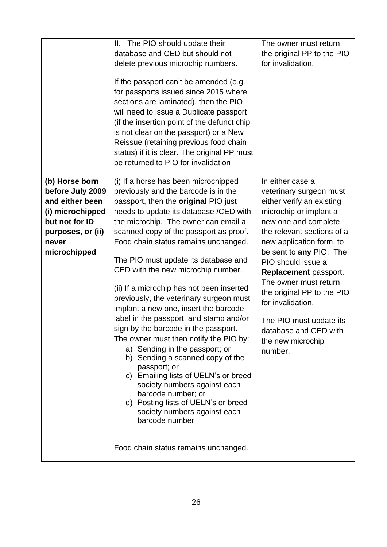|                                                                                                                                           | The PIO should update their<br>Ш.<br>database and CED but should not<br>delete previous microchip numbers.<br>If the passport can't be amended (e.g.<br>for passports issued since 2015 where<br>sections are laminated), then the PIO<br>will need to issue a Duplicate passport<br>(if the insertion point of the defunct chip<br>is not clear on the passport) or a New<br>Reissue (retaining previous food chain<br>status) if it is clear. The original PP must<br>be returned to PIO for invalidation                                                                                                                                                                                                                                                                                                                                                                                                                                                      | The owner must return<br>the original PP to the PIO<br>for invalidation.                                                                                                                                                                                                                                                                                                                                                       |
|-------------------------------------------------------------------------------------------------------------------------------------------|------------------------------------------------------------------------------------------------------------------------------------------------------------------------------------------------------------------------------------------------------------------------------------------------------------------------------------------------------------------------------------------------------------------------------------------------------------------------------------------------------------------------------------------------------------------------------------------------------------------------------------------------------------------------------------------------------------------------------------------------------------------------------------------------------------------------------------------------------------------------------------------------------------------------------------------------------------------|--------------------------------------------------------------------------------------------------------------------------------------------------------------------------------------------------------------------------------------------------------------------------------------------------------------------------------------------------------------------------------------------------------------------------------|
| (b) Horse born<br>before July 2009<br>and either been<br>(i) microchipped<br>but not for ID<br>purposes, or (ii)<br>never<br>microchipped | (i) If a horse has been microchipped<br>previously and the barcode is in the<br>passport, then the <b>original</b> PIO just<br>needs to update its database /CED with<br>the microchip. The owner can email a<br>scanned copy of the passport as proof.<br>Food chain status remains unchanged.<br>The PIO must update its database and<br>CED with the new microchip number.<br>(ii) If a microchip has not been inserted<br>previously, the veterinary surgeon must<br>implant a new one, insert the barcode<br>label in the passport, and stamp and/or<br>sign by the barcode in the passport.<br>The owner must then notify the PIO by:<br>a) Sending in the passport; or<br>b) Sending a scanned copy of the<br>passport; or<br>c) Emailing lists of UELN's or breed<br>society numbers against each<br>barcode number; or<br>d) Posting lists of UELN's or breed<br>society numbers against each<br>barcode number<br>Food chain status remains unchanged. | In either case a<br>veterinary surgeon must<br>either verify an existing<br>microchip or implant a<br>new one and complete<br>the relevant sections of a<br>new application form, to<br>be sent to any PIO. The<br>PIO should issue a<br>Replacement passport.<br>The owner must return<br>the original PP to the PIO<br>for invalidation.<br>The PIO must update its<br>database and CED with<br>the new microchip<br>number. |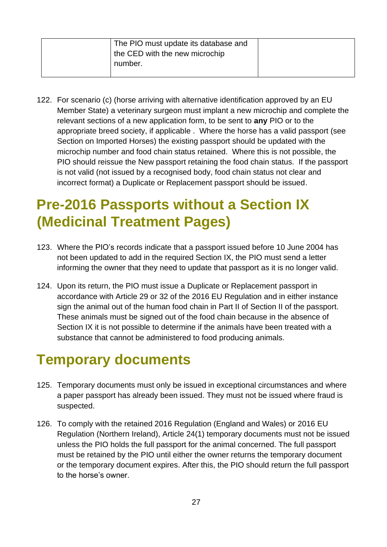| The PIO must update its database and |  |
|--------------------------------------|--|
| the CED with the new microchip       |  |
| number.                              |  |
|                                      |  |

122. For scenario (c) (horse arriving with alternative identification approved by an EU Member State) a veterinary surgeon must implant a new microchip and complete the relevant sections of a new application form, to be sent to **any** PIO or to the appropriate breed society, if applicable . Where the horse has a valid passport (see Section on Imported Horses) the existing passport should be updated with the microchip number and food chain status retained. Where this is not possible, the PIO should reissue the New passport retaining the food chain status. If the passport is not valid (not issued by a recognised body, food chain status not clear and incorrect format) a Duplicate or Replacement passport should be issued.

# <span id="page-31-0"></span>**Pre-2016 Passports without a Section IX (Medicinal Treatment Pages)**

- 123. Where the PIO's records indicate that a passport issued before 10 June 2004 has not been updated to add in the required Section IX, the PIO must send a letter informing the owner that they need to update that passport as it is no longer valid.
- 124. Upon its return, the PIO must issue a Duplicate or Replacement passport in accordance with Article 29 or 32 of the 2016 EU Regulation and in either instance sign the animal out of the human food chain in Part II of Section II of the passport. These animals must be signed out of the food chain because in the absence of Section IX it is not possible to determine if the animals have been treated with a substance that cannot be administered to food producing animals.

# <span id="page-31-1"></span>**Temporary documents**

- 125. Temporary documents must only be issued in exceptional circumstances and where a paper passport has already been issued. They must not be issued where fraud is suspected.
- 126. To comply with the retained 2016 Regulation (England and Wales) or 2016 EU Regulation (Northern Ireland), Article 24(1) temporary documents must not be issued unless the PIO holds the full passport for the animal concerned. The full passport must be retained by the PIO until either the owner returns the temporary document or the temporary document expires. After this, the PIO should return the full passport to the horse's owner.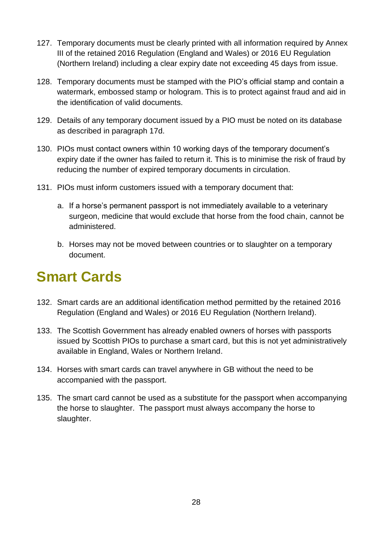- 127. Temporary documents must be clearly printed with all information required by Annex III of the retained 2016 Regulation (England and Wales) or 2016 EU Regulation (Northern Ireland) including a clear expiry date not exceeding 45 days from issue.
- 128. Temporary documents must be stamped with the PIO's official stamp and contain a watermark, embossed stamp or hologram. This is to protect against fraud and aid in the identification of valid documents.
- 129. Details of any temporary document issued by a PIO must be noted on its database as described in paragraph 17d.
- 130. PIOs must contact owners within 10 working days of the temporary document's expiry date if the owner has failed to return it. This is to minimise the risk of fraud by reducing the number of expired temporary documents in circulation.
- 131. PIOs must inform customers issued with a temporary document that:
	- a. If a horse's permanent passport is not immediately available to a veterinary surgeon, medicine that would exclude that horse from the food chain, cannot be administered.
	- b. Horses may not be moved between countries or to slaughter on a temporary document.

## <span id="page-32-0"></span>**Smart Cards**

- 132. Smart cards are an additional identification method permitted by the retained 2016 Regulation (England and Wales) or 2016 EU Regulation (Northern Ireland).
- 133. The Scottish Government has already enabled owners of horses with passports issued by Scottish PIOs to purchase a smart card, but this is not yet administratively available in England, Wales or Northern Ireland.
- 134. Horses with smart cards can travel anywhere in GB without the need to be accompanied with the passport.
- 135. The smart card cannot be used as a substitute for the passport when accompanying the horse to slaughter. The passport must always accompany the horse to slaughter.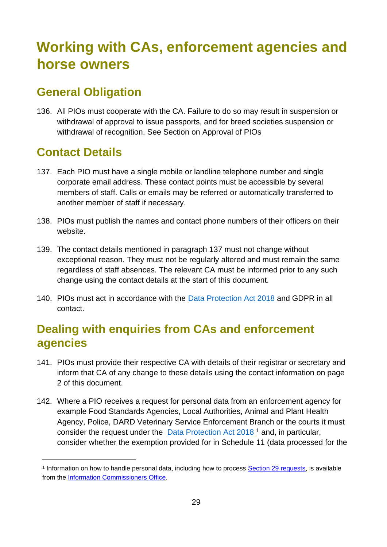# <span id="page-33-0"></span>**Working with CAs, enforcement agencies and horse owners**

### <span id="page-33-1"></span>**General Obligation**

136. All PIOs must cooperate with the CA. Failure to do so may result in suspension or withdrawal of approval to issue passports, and for breed societies suspension or withdrawal of recognition. See Section on Approval of PIOs

### <span id="page-33-2"></span>**Contact Details**

- 137. Each PIO must have a single mobile or landline telephone number and single corporate email address. These contact points must be accessible by several members of staff. Calls or emails may be referred or automatically transferred to another member of staff if necessary.
- 138. PIOs must publish the names and contact phone numbers of their officers on their website.
- 139. The contact details mentioned in paragraph 137 must not change without exceptional reason. They must not be regularly altered and must remain the same regardless of staff absences. The relevant CA must be informed prior to any such change using the contact details at the start of this document.
- 140. PIOs must act in accordance with the Data Protection Act 2018 and GDPR in all contact.

### <span id="page-33-3"></span>**Dealing with enquiries from CAs and enforcement agencies**

- 141. PIOs must provide their respective CA with details of their registrar or secretary and inform that CA of any change to these details using the contact information on page 2 of this document.
- 142. Where a PIO receives a request for personal data from an enforcement agency for example Food Standards Agencies, Local Authorities, Animal and Plant Health Agency, Police, DARD Veterinary Service Enforcement Branch or the courts it must consider the request under the  $Data Protection$  Act  $2018$ <sup>1</sup> and, in particular, consider whether the exemption provided for in Schedule 11 (data processed for the

<sup>&</sup>lt;sup>1</sup> Information on how to handle personal data, including how to process **Section 29 requests**, is available from the Information Commissioners Office.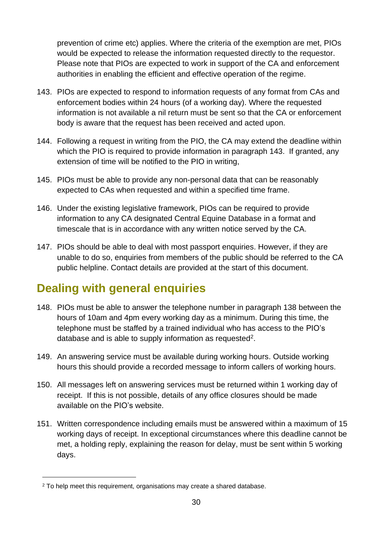prevention of crime etc) applies. Where the criteria of the exemption are met, PIOs would be expected to release the information requested directly to the requestor. Please note that PIOs are expected to work in support of the CA and enforcement authorities in enabling the efficient and effective operation of the regime.

- 143. PIOs are expected to respond to information requests of any format from CAs and enforcement bodies within 24 hours (of a working day). Where the requested information is not available a nil return must be sent so that the CA or enforcement body is aware that the request has been received and acted upon.
- 144. Following a request in writing from the PIO, the CA may extend the deadline within which the PIO is required to provide information in paragraph 143. If granted, any extension of time will be notified to the PIO in writing,
- 145. PIOs must be able to provide any non-personal data that can be reasonably expected to CAs when requested and within a specified time frame.
- 146. Under the existing legislative framework, PIOs can be required to provide information to any CA designated Central Equine Database in a format and timescale that is in accordance with any written notice served by the CA.
- 147. PIOs should be able to deal with most passport enquiries. However, if they are unable to do so, enquiries from members of the public should be referred to the CA public helpline. Contact details are provided at the start of this document.

### <span id="page-34-0"></span>**Dealing with general enquiries**

- 148. PIOs must be able to answer the telephone number in paragraph 138 between the hours of 10am and 4pm every working day as a minimum. During this time, the telephone must be staffed by a trained individual who has access to the PIO's database and is able to supply information as requested<sup>2</sup>.
- 149. An answering service must be available during working hours. Outside working hours this should provide a recorded message to inform callers of working hours.
- 150. All messages left on answering services must be returned within 1 working day of receipt. If this is not possible, details of any office closures should be made available on the PIO's website.
- 151. Written correspondence including emails must be answered within a maximum of 15 working days of receipt. In exceptional circumstances where this deadline cannot be met, a holding reply, explaining the reason for delay, must be sent within 5 working days.

<sup>&</sup>lt;sup>2</sup> To help meet this requirement, organisations may create a shared database.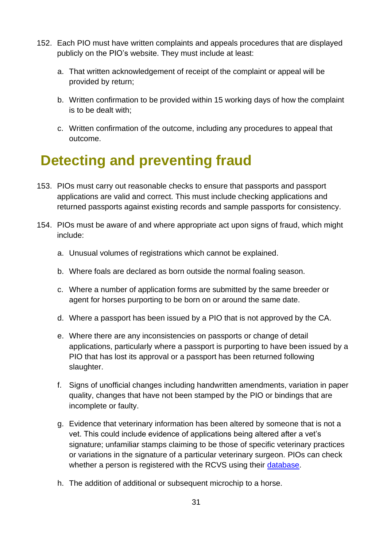- 152. Each PIO must have written complaints and appeals procedures that are displayed publicly on the PIO's website. They must include at least:
	- a. That written acknowledgement of receipt of the complaint or appeal will be provided by return;
	- b. Written confirmation to be provided within 15 working days of how the complaint is to be dealt with;
	- c. Written confirmation of the outcome, including any procedures to appeal that outcome.

# <span id="page-35-0"></span>**Detecting and preventing fraud**

- 153. PIOs must carry out reasonable checks to ensure that passports and passport applications are valid and correct. This must include checking applications and returned passports against existing records and sample passports for consistency.
- 154. PIOs must be aware of and where appropriate act upon signs of fraud, which might include:
	- a. Unusual volumes of registrations which cannot be explained.
	- b. Where foals are declared as born outside the normal foaling season.
	- c. Where a number of application forms are submitted by the same breeder or agent for horses purporting to be born on or around the same date.
	- d. Where a passport has been issued by a PIO that is not approved by the CA.
	- e. Where there are any inconsistencies on passports or change of detail applications, particularly where a passport is purporting to have been issued by a PIO that has lost its approval or a passport has been returned following slaughter.
	- f. Signs of unofficial changes including handwritten amendments, variation in paper quality, changes that have not been stamped by the PIO or bindings that are incomplete or faulty.
	- g. Evidence that veterinary information has been altered by someone that is not a vet. This could include evidence of applications being altered after a vet's signature; unfamiliar stamps claiming to be those of specific veterinary practices or variations in the signature of a particular veterinary surgeon. PIOs can check whether a person is registered with the RCVS using their database.
	- h. The addition of additional or subsequent microchip to a horse.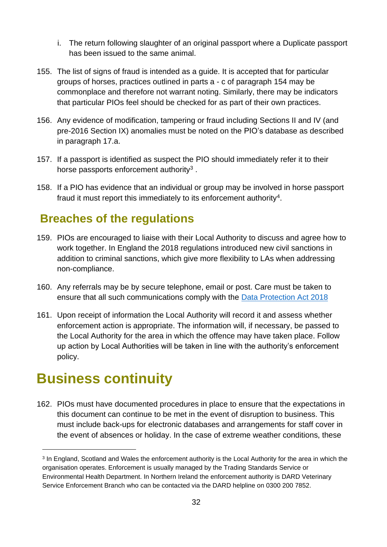- i. The return following slaughter of an original passport where a Duplicate passport has been issued to the same animal.
- 155. The list of signs of fraud is intended as a guide. It is accepted that for particular groups of horses, practices outlined in parts a - c of paragraph 154 may be commonplace and therefore not warrant noting. Similarly, there may be indicators that particular PIOs feel should be checked for as part of their own practices.
- 156. Any evidence of modification, tampering or fraud including Sections II and IV (and pre-2016 Section IX) anomalies must be noted on the PIO's database as described in paragraph 17.a.
- 157. If a passport is identified as suspect the PIO should immediately refer it to their horse passports enforcement authority<sup>3</sup>.
- 158. If a PIO has evidence that an individual or group may be involved in horse passport fraud it must report this immediately to its enforcement authority<sup>4</sup>.

### <span id="page-36-0"></span>**Breaches of the regulations**

- 159. PIOs are encouraged to liaise with their Local Authority to discuss and agree how to work together. In England the 2018 regulations introduced new civil sanctions in addition to criminal sanctions, which give more flexibility to LAs when addressing non-compliance.
- 160. Any referrals may be by secure telephone, email or post. Care must be taken to ensure that all such communications comply with the Data Protection Act 2018
- 161. Upon receipt of information the Local Authority will record it and assess whether enforcement action is appropriate. The information will, if necessary, be passed to the Local Authority for the area in which the offence may have taken place. Follow up action by Local Authorities will be taken in line with the authority's enforcement policy.

## <span id="page-36-1"></span>**Business continuity**

162. PIOs must have documented procedures in place to ensure that the expectations in this document can continue to be met in the event of disruption to business. This must include back-ups for electronic databases and arrangements for staff cover in the event of absences or holiday. In the case of extreme weather conditions, these

<sup>&</sup>lt;sup>3</sup> In England, Scotland and Wales the enforcement authority is the Local Authority for the area in which the organisation operates. Enforcement is usually managed by the Trading Standards Service or Environmental Health Department. In Northern Ireland the enforcement authority is DARD Veterinary Service Enforcement Branch who can be contacted via the DARD helpline on 0300 200 7852.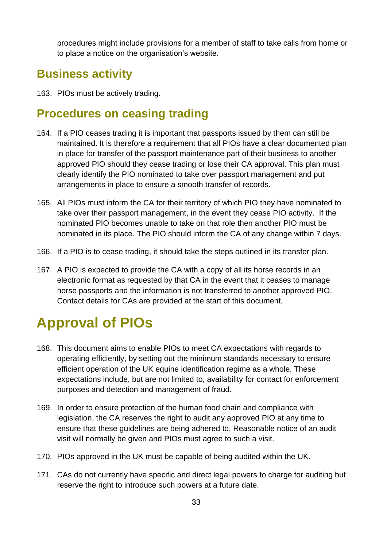procedures might include provisions for a member of staff to take calls from home or to place a notice on the organisation's website.

### <span id="page-37-0"></span>**Business activity**

163. PIOs must be actively trading.

### <span id="page-37-1"></span>**Procedures on ceasing trading**

- 164. If a PIO ceases trading it is important that passports issued by them can still be maintained. It is therefore a requirement that all PIOs have a clear documented plan in place for transfer of the passport maintenance part of their business to another approved PIO should they cease trading or lose their CA approval. This plan must clearly identify the PIO nominated to take over passport management and put arrangements in place to ensure a smooth transfer of records.
- 165. All PIOs must inform the CA for their territory of which PIO they have nominated to take over their passport management, in the event they cease PIO activity. If the nominated PIO becomes unable to take on that role then another PIO must be nominated in its place. The PIO should inform the CA of any change within 7 days.
- 166. If a PIO is to cease trading, it should take the steps outlined in its transfer plan.
- 167. A PIO is expected to provide the CA with a copy of all its horse records in an electronic format as requested by that CA in the event that it ceases to manage horse passports and the information is not transferred to another approved PIO. Contact details for CAs are provided at the start of this document.

# <span id="page-37-2"></span>**Approval of PIOs**

- 168. This document aims to enable PIOs to meet CA expectations with regards to operating efficiently, by setting out the minimum standards necessary to ensure efficient operation of the UK equine identification regime as a whole. These expectations include, but are not limited to, availability for contact for enforcement purposes and detection and management of fraud.
- 169. In order to ensure protection of the human food chain and compliance with legislation, the CA reserves the right to audit any approved PIO at any time to ensure that these guidelines are being adhered to. Reasonable notice of an audit visit will normally be given and PIOs must agree to such a visit.
- 170. PIOs approved in the UK must be capable of being audited within the UK.
- 171. CAs do not currently have specific and direct legal powers to charge for auditing but reserve the right to introduce such powers at a future date.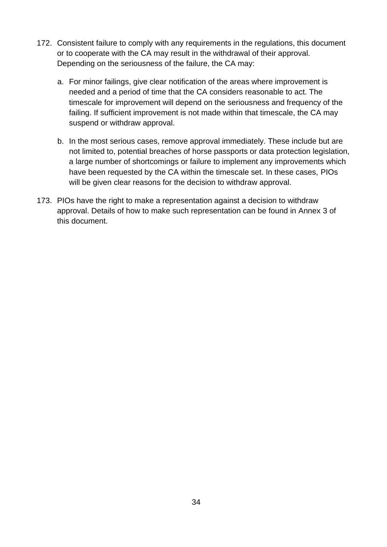- 172. Consistent failure to comply with any requirements in the regulations, this document or to cooperate with the CA may result in the withdrawal of their approval. Depending on the seriousness of the failure, the CA may:
	- a. For minor failings, give clear notification of the areas where improvement is needed and a period of time that the CA considers reasonable to act. The timescale for improvement will depend on the seriousness and frequency of the failing. If sufficient improvement is not made within that timescale, the CA may suspend or withdraw approval.
	- b. In the most serious cases, remove approval immediately. These include but are not limited to, potential breaches of horse passports or data protection legislation, a large number of shortcomings or failure to implement any improvements which have been requested by the CA within the timescale set. In these cases, PIOs will be given clear reasons for the decision to withdraw approval.
- 173. PIOs have the right to make a representation against a decision to withdraw approval. Details of how to make such representation can be found in Annex 3 of this document.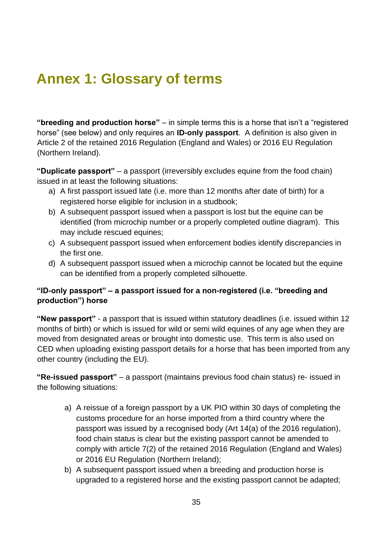# <span id="page-39-0"></span>**Annex 1: Glossary of terms**

**"breeding and production horse"** – in simple terms this is a horse that isn't a "registered horse" (see below) and only requires an **ID-only passport**. A definition is also given in Article 2 of the retained 2016 Regulation (England and Wales) or 2016 EU Regulation (Northern Ireland).

**"Duplicate passport"** – a passport (irreversibly excludes equine from the food chain) issued in at least the following situations:

- a) A first passport issued late (i.e. more than 12 months after date of birth) for a registered horse eligible for inclusion in a studbook;
- b) A subsequent passport issued when a passport is lost but the equine can be identified (from microchip number or a properly completed outline diagram). This may include rescued equines;
- c) A subsequent passport issued when enforcement bodies identify discrepancies in the first one.
- d) A subsequent passport issued when a microchip cannot be located but the equine can be identified from a properly completed silhouette.

### **"ID-only passport" – a passport issued for a non-registered (i.e. "breeding and production") horse**

**"New passport"** - a passport that is issued within statutory deadlines (i.e. issued within 12 months of birth) or which is issued for wild or semi wild equines of any age when they are moved from designated areas or brought into domestic use. This term is also used on CED when uploading existing passport details for a horse that has been imported from any other country (including the EU).

**"Re-issued passport"** – a passport (maintains previous food chain status) re- issued in the following situations:

- a) A reissue of a foreign passport by a UK PIO within 30 days of completing the customs procedure for an horse imported from a third country where the passport was issued by a recognised body (Art 14(a) of the 2016 regulation), food chain status is clear but the existing passport cannot be amended to comply with article 7(2) of the retained 2016 Regulation (England and Wales) or 2016 EU Regulation (Northern Ireland);
- b) A subsequent passport issued when a breeding and production horse is upgraded to a registered horse and the existing passport cannot be adapted;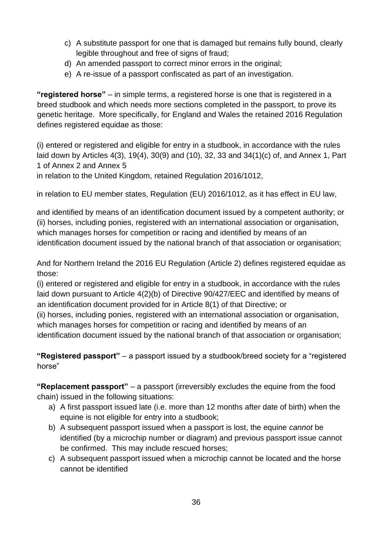- c) A substitute passport for one that is damaged but remains fully bound, clearly legible throughout and free of signs of fraud;
- d) An amended passport to correct minor errors in the original;
- e) A re-issue of a passport confiscated as part of an investigation.

**"registered horse"** – in simple terms, a registered horse is one that is registered in a breed studbook and which needs more sections completed in the passport, to prove its genetic heritage. More specifically, for England and Wales the retained 2016 Regulation defines registered equidae as those:

(i) entered or registered and eligible for entry in a studbook, in accordance with the rules laid down by Articles 4(3), 19(4), 30(9) and (10), 32, 33 and 34(1)(c) of, and Annex 1, Part 1 of Annex 2 and Annex 5

in relation to the United Kingdom, retained Regulation 2016/1012,

in relation to EU member states, Regulation (EU) 2016/1012, as it has effect in EU law,

and identified by means of an identification document issued by a competent authority; or (ii) horses, including ponies, registered with an international association or organisation, which manages horses for competition or racing and identified by means of an identification document issued by the national branch of that association or organisation;

And for Northern Ireland the 2016 EU Regulation (Article 2) defines registered equidae as those:

(i) entered or registered and eligible for entry in a studbook, in accordance with the rules laid down pursuant to Article 4(2)(b) of Directive 90/427/EEC and identified by means of an identification document provided for in Article 8(1) of that Directive; or

(ii) horses, including ponies, registered with an international association or organisation, which manages horses for competition or racing and identified by means of an identification document issued by the national branch of that association or organisation;

**"Registered passport"** – a passport issued by a studbook/breed society for a "registered horse"

**"Replacement passport"** – a passport (irreversibly excludes the equine from the food chain) issued in the following situations:

- a) A first passport issued late (i.e. more than 12 months after date of birth) when the equine is not eligible for entry into a studbook;
- b) A subsequent passport issued when a passport is lost, the equine *cannot* be identified (by a microchip number or diagram) and previous passport issue cannot be confirmed. This may include rescued horses;
- c) A subsequent passport issued when a microchip cannot be located and the horse cannot be identified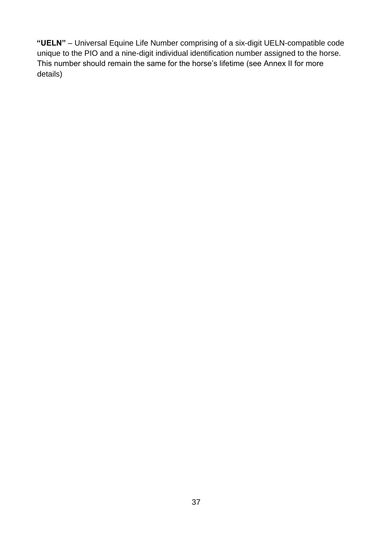**"UELN"** – Universal Equine Life Number comprising of a six-digit UELN-compatible code unique to the PIO and a nine-digit individual identification number assigned to the horse. This number should remain the same for the horse's lifetime (see Annex II for more details)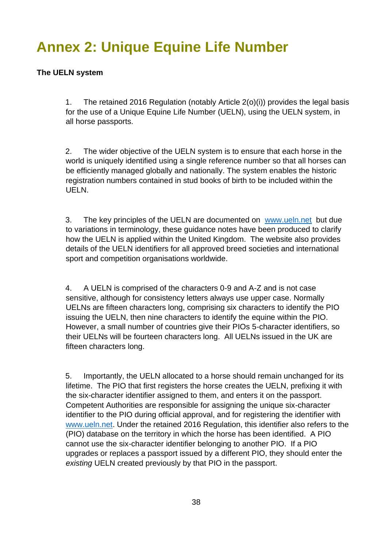# <span id="page-42-0"></span>**Annex 2: Unique Equine Life Number**

#### **The UELN system**

1. The retained 2016 Regulation (notably Article 2(o)(i)) provides the legal basis for the use of a Unique Equine Life Number (UELN), using the UELN system, in all horse passports.

2. The wider objective of the UELN system is to ensure that each horse in the world is uniquely identified using a single reference number so that all horses can be efficiently managed globally and nationally. The system enables the historic registration numbers contained in stud books of birth to be included within the UELN.

3. The key principles of the UELN are documented on www.ueln.net but due to variations in terminology, these guidance notes have been produced to clarify how the UELN is applied within the United Kingdom. The website also provides details of the UELN identifiers for all approved breed societies and international sport and competition organisations worldwide.

4. A UELN is comprised of the characters 0-9 and A-Z and is not case sensitive, although for consistency letters always use upper case. Normally UELNs are fifteen characters long, comprising six characters to identify the PIO issuing the UELN, then nine characters to identify the equine within the PIO. However, a small number of countries give their PIOs 5-character identifiers, so their UELNs will be fourteen characters long. All UELNs issued in the UK are fifteen characters long.

5. Importantly, the UELN allocated to a horse should remain unchanged for its lifetime. The PIO that first registers the horse creates the UELN, prefixing it with the six-character identifier assigned to them, and enters it on the passport. Competent Authorities are responsible for assigning the unique six-character identifier to the PIO during official approval, and for registering the identifier with www.ueln.net. Under the retained 2016 Regulation, this identifier also refers to the (PIO) database on the territory in which the horse has been identified. A PIO cannot use the six-character identifier belonging to another PIO. If a PIO upgrades or replaces a passport issued by a different PIO, they should enter the *existing* UELN created previously by that PIO in the passport.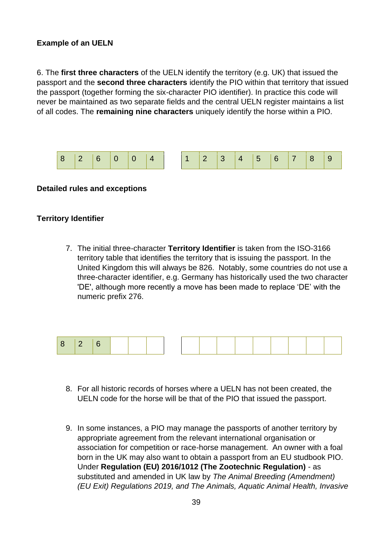#### **Example of an UELN**

6. The **first three characters** of the UELN identify the territory (e.g. UK) that issued the passport and the **second three characters** identify the PIO within that territory that issued the passport (together forming the six-character PIO identifier). In practice this code will never be maintained as two separate fields and the central UELN register maintains a list of all codes. The **remaining nine characters** uniquely identify the horse within a PIO.



#### **Detailed rules and exceptions**

#### **Territory Identifier**

7. The initial three-character **Territory Identifier** is taken from the ISO-3166 territory table that identifies the territory that is issuing the passport. In the United Kingdom this will always be 826. Notably, some countries do not use a three-character identifier, e.g. Germany has historically used the two character 'DE', although more recently a move has been made to replace 'DE' with the numeric prefix 276.



- 8. For all historic records of horses where a UELN has not been created, the UELN code for the horse will be that of the PIO that issued the passport.
- 9. In some instances, a PIO may manage the passports of another territory by appropriate agreement from the relevant international organisation or association for competition or race-horse management. An owner with a foal born in the UK may also want to obtain a passport from an EU studbook PIO. Under **Regulation (EU) 2016/1012 (The Zootechnic Regulation)** - as substituted and amended in UK law by *The Animal Breeding (Amendment) (EU Exit) Regulations 2019, and The Animals, Aquatic Animal Health, Invasive*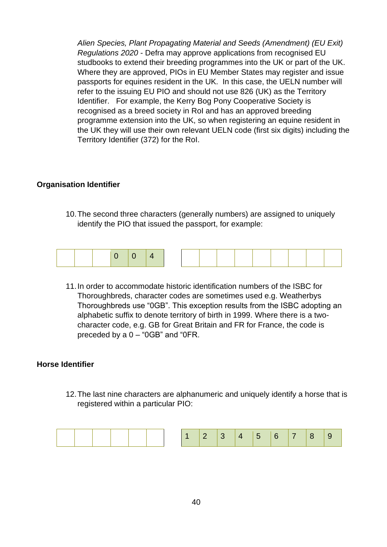*Alien Species, Plant Propagating Material and Seeds (Amendment) (EU Exit) Regulations 2020* - Defra may approve applications from recognised EU studbooks to extend their breeding programmes into the UK or part of the UK. Where they are approved, PIOs in EU Member States may register and issue passports for equines resident in the UK. In this case, the UELN number will refer to the issuing EU PIO and should not use 826 (UK) as the Territory Identifier. For example, the Kerry Bog Pony Cooperative Society is recognised as a breed society in RoI and has an approved breeding programme extension into the UK, so when registering an equine resident in the UK they will use their own relevant UELN code (first six digits) including the Territory Identifier (372) for the RoI.

#### **Organisation Identifier**

10.The second three characters (generally numbers) are assigned to uniquely identify the PIO that issued the passport, for example:



11.In order to accommodate historic identification numbers of the ISBC for Thoroughbreds, character codes are sometimes used e.g. Weatherbys Thoroughbreds use "0GB". This exception results from the ISBC adopting an alphabetic suffix to denote territory of birth in 1999. Where there is a twocharacter code, e.g. GB for Great Britain and FR for France, the code is preceded by a 0 – "0GB" and "0FR.

#### **Horse Identifier**

12.The last nine characters are alphanumeric and uniquely identify a horse that is registered within a particular PIO:

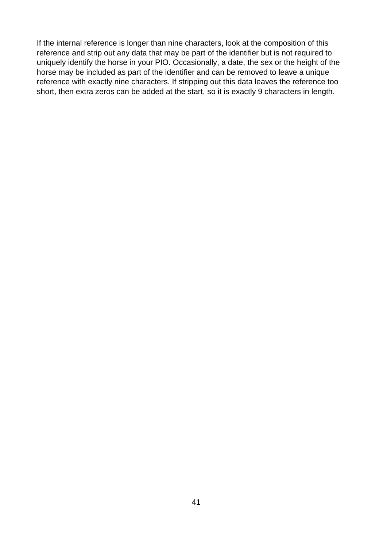If the internal reference is longer than nine characters, look at the composition of this reference and strip out any data that may be part of the identifier but is not required to uniquely identify the horse in your PIO. Occasionally, a date, the sex or the height of the horse may be included as part of the identifier and can be removed to leave a unique reference with exactly nine characters. If stripping out this data leaves the reference too short, then extra zeros can be added at the start, so it is exactly 9 characters in length.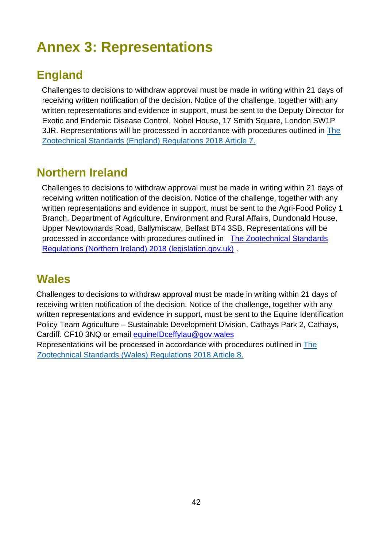# <span id="page-46-0"></span>**Annex 3: Representations**

### <span id="page-46-1"></span>**England**

Challenges to decisions to withdraw approval must be made in writing within 21 days of receiving written notification of the decision. Notice of the challenge, together with any written representations and evidence in support, must be sent to the Deputy Director for Exotic and Endemic Disease Control, Nobel House, 17 Smith Square, London SW1P 3JR. Representations will be processed in accordance with procedures outlined in The Zootechnical Standards (England) Regulations 2018 Article 7.

### <span id="page-46-2"></span>**Northern Ireland**

Challenges to decisions to withdraw approval must be made in writing within 21 days of receiving written notification of the decision. Notice of the challenge, together with any written representations and evidence in support, must be sent to the Agri-Food Policy 1 Branch, Department of Agriculture, Environment and Rural Affairs, Dundonald House, Upper Newtownards Road, Ballymiscaw, Belfast BT4 3SB. Representations will be processed in accordance with procedures outlined in The Zootechnical Standards Regulations (Northern Ireland) 2018 (legislation.gov.uk) .

### <span id="page-46-3"></span>**Wales**

Challenges to decisions to withdraw approval must be made in writing within 21 days of receiving written notification of the decision. Notice of the challenge, together with any written representations and evidence in support, must be sent to the Equine Identification Policy Team Agriculture – Sustainable Development Division, Cathays Park 2, Cathays, Cardiff. CF10 3NQ or email equineIDceffylau@gov.wales

Representations will be processed in accordance with procedures outlined in The Zootechnical Standards (Wales) Regulations 2018 Article 8.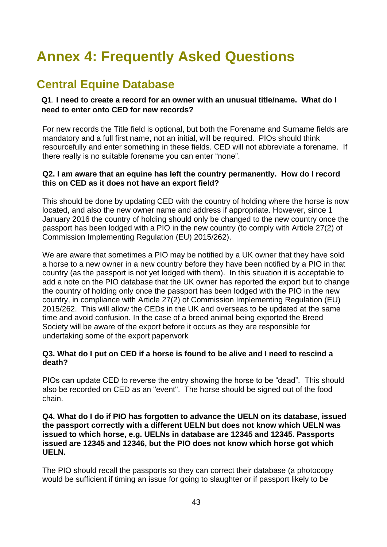# <span id="page-47-0"></span>**Annex 4: Frequently Asked Questions**

### <span id="page-47-1"></span>**Central Equine Database**

#### **Q1**. **I need to create a record for an owner with an unusual title/name. What do I need to enter onto CED for new records?**

For new records the Title field is optional, but both the Forename and Surname fields are mandatory and a full first name, not an initial, will be required. PIOs should think resourcefully and enter something in these fields. CED will not abbreviate a forename. If there really is no suitable forename you can enter "none".

#### **Q2. I am aware that an equine has left the country permanently. How do I record this on CED as it does not have an export field?**

This should be done by updating CED with the country of holding where the horse is now located, and also the new owner name and address if appropriate. However, since 1 January 2016 the country of holding should only be changed to the new country once the passport has been lodged with a PIO in the new country (to comply with Article 27(2) of Commission Implementing Regulation (EU) 2015/262).

We are aware that sometimes a PIO may be notified by a UK owner that they have sold a horse to a new owner in a new country before they have been notified by a PIO in that country (as the passport is not yet lodged with them). In this situation it is acceptable to add a note on the PIO database that the UK owner has reported the export but to change the country of holding only once the passport has been lodged with the PIO in the new country, in compliance with Article 27(2) of Commission Implementing Regulation (EU) 2015/262. This will allow the CEDs in the UK and overseas to be updated at the same time and avoid confusion. In the case of a breed animal being exported the Breed Society will be aware of the export before it occurs as they are responsible for undertaking some of the export paperwork

#### **Q3. What do I put on CED if a horse is found to be alive and I need to rescind a death?**

PIOs can update CED to reverse the entry showing the horse to be "dead". This should also be recorded on CED as an "event". The horse should be signed out of the food chain.

#### **Q4. What do I do if PIO has forgotten to advance the UELN on its database, issued the passport correctly with a different UELN but does not know which UELN was issued to which horse, e.g. UELNs in database are 12345 and 12345. Passports issued are 12345 and 12346, but the PIO does not know which horse got which UELN.**

The PIO should recall the passports so they can correct their database (a photocopy would be sufficient if timing an issue for going to slaughter or if passport likely to be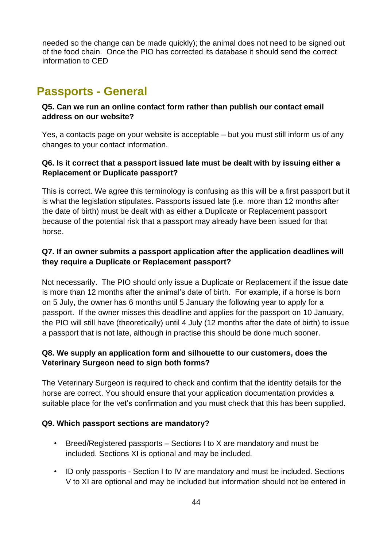needed so the change can be made quickly); the animal does not need to be signed out of the food chain. Once the PIO has corrected its database it should send the correct information to CED

### <span id="page-48-0"></span>**Passports - General**

#### **Q5. Can we run an online contact form rather than publish our contact email address on our website?**

Yes, a contacts page on your website is acceptable – but you must still inform us of any changes to your contact information.

### **Q6. Is it correct that a passport issued late must be dealt with by issuing either a Replacement or Duplicate passport?**

This is correct. We agree this terminology is confusing as this will be a first passport but it is what the legislation stipulates. Passports issued late (i.e. more than 12 months after the date of birth) must be dealt with as either a Duplicate or Replacement passport because of the potential risk that a passport may already have been issued for that horse.

### **Q7. If an owner submits a passport application after the application deadlines will they require a Duplicate or Replacement passport?**

Not necessarily. The PIO should only issue a Duplicate or Replacement if the issue date is more than 12 months after the animal's date of birth. For example, if a horse is born on 5 July, the owner has 6 months until 5 January the following year to apply for a passport. If the owner misses this deadline and applies for the passport on 10 January, the PIO will still have (theoretically) until 4 July (12 months after the date of birth) to issue a passport that is not late, although in practise this should be done much sooner.

### **Q8. We supply an application form and silhouette to our customers, does the Veterinary Surgeon need to sign both forms?**

The Veterinary Surgeon is required to check and confirm that the identity details for the horse are correct. You should ensure that your application documentation provides a suitable place for the vet's confirmation and you must check that this has been supplied.

### **Q9. Which passport sections are mandatory?**

- Breed/Registered passports Sections I to X are mandatory and must be included. Sections XI is optional and may be included.
- ID only passports Section I to IV are mandatory and must be included. Sections V to XI are optional and may be included but information should not be entered in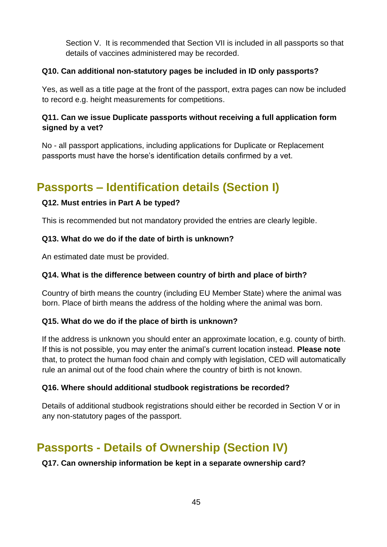Section V. It is recommended that Section VII is included in all passports so that details of vaccines administered may be recorded.

### **Q10. Can additional non-statutory pages be included in ID only passports?**

Yes, as well as a title page at the front of the passport, extra pages can now be included to record e.g. height measurements for competitions.

### **Q11. Can we issue Duplicate passports without receiving a full application form signed by a vet?**

No - all passport applications, including applications for Duplicate or Replacement passports must have the horse's identification details confirmed by a vet.

## <span id="page-49-0"></span>**Passports – Identification details (Section I)**

### **Q12. Must entries in Part A be typed?**

This is recommended but not mandatory provided the entries are clearly legible.

### **Q13. What do we do if the date of birth is unknown?**

An estimated date must be provided.

### **Q14. What is the difference between country of birth and place of birth?**

Country of birth means the country (including EU Member State) where the animal was born. Place of birth means the address of the holding where the animal was born.

### **Q15. What do we do if the place of birth is unknown?**

If the address is unknown you should enter an approximate location, e.g. county of birth. If this is not possible, you may enter the animal's current location instead. **Please note** that, to protect the human food chain and comply with legislation, CED will automatically rule an animal out of the food chain where the country of birth is not known.

### **Q16. Where should additional studbook registrations be recorded?**

Details of additional studbook registrations should either be recorded in Section V or in any non-statutory pages of the passport.

## <span id="page-49-1"></span>**Passports - Details of Ownership (Section IV)**

### **Q17. Can ownership information be kept in a separate ownership card?**